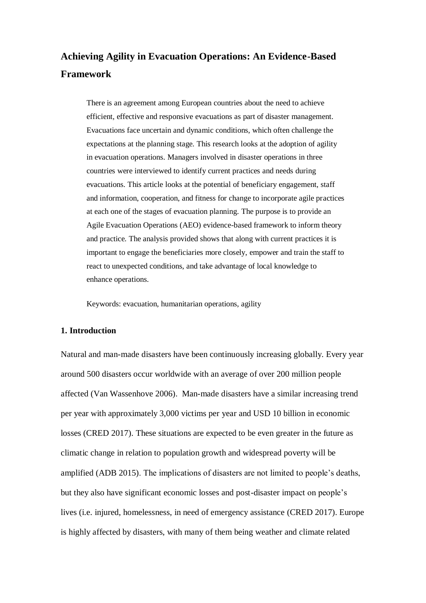# **Achieving Agility in Evacuation Operations: An Evidence-Based Framework**

There is an agreement among European countries about the need to achieve efficient, effective and responsive evacuations as part of disaster management. Evacuations face uncertain and dynamic conditions, which often challenge the expectations at the planning stage. This research looks at the adoption of agility in evacuation operations. Managers involved in disaster operations in three countries were interviewed to identify current practices and needs during evacuations. This article looks at the potential of beneficiary engagement, staff and information, cooperation, and fitness for change to incorporate agile practices at each one of the stages of evacuation planning. The purpose is to provide an Agile Evacuation Operations (AEO) evidence-based framework to inform theory and practice. The analysis provided shows that along with current practices it is important to engage the beneficiaries more closely, empower and train the staff to react to unexpected conditions, and take advantage of local knowledge to enhance operations.

Keywords: evacuation, humanitarian operations, agility

# **1. Introduction**

Natural and man-made disasters have been continuously increasing globally. Every year around 500 disasters occur worldwide with an average of over 200 million people affected (Van Wassenhove 2006). Man-made disasters have a similar increasing trend per year with approximately 3,000 victims per year and USD 10 billion in economic losses (CRED 2017). These situations are expected to be even greater in the future as climatic change in relation to population growth and widespread poverty will be amplified (ADB 2015). The implications of disasters are not limited to people's deaths, but they also have significant economic losses and post-disaster impact on people's lives (i.e. injured, homelessness, in need of emergency assistance (CRED 2017). Europe is highly affected by disasters, with many of them being weather and climate related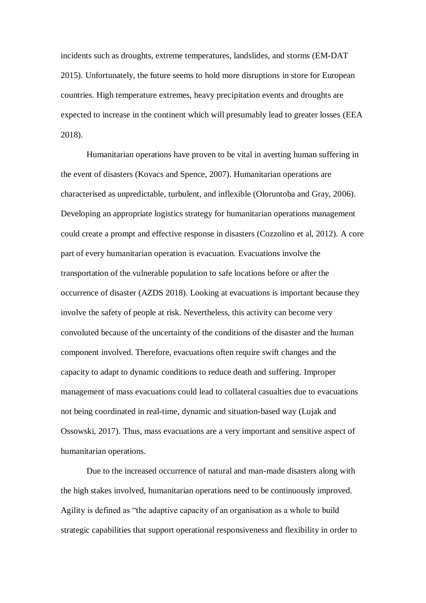incidents such as droughts, extreme temperatures, landslides, and storms (EM-DAT 2015). Unfortunately, the future seems to hold more disruptions in store for European countries. High temperature extremes, heavy precipitation events and droughts are expected to increase in the continent which will presumably lead to greater losses (EEA 2018).

Humanitarian operations have proven to be vital in averting human suffering in the event of disasters (Kovacs and Spence, 2007). Humanitarian operations are characterised as unpredictable, turbulent, and inflexible (Oloruntoba and Gray, 2006). Developing an appropriate logistics strategy for humanitarian operations management could create a prompt and effective response in disasters (Cozzolino et al, 2012). A core part of every humanitarian operation is evacuation. Evacuations involve the transportation of the vulnerable population to safe locations before or after the occurrence of disaster (AZDS 2018). Looking at evacuations is important because they involve the safety of people at risk. Nevertheless, this activity can become very convoluted because of the uncertainty of the conditions of the disaster and the human component involved. Therefore, evacuations often require swift changes and the capacity to adapt to dynamic conditions to reduce death and suffering. Improper management of mass evacuations could lead to collateral casualties due to evacuations not being coordinated in real-time, dynamic and situation-based way (Lujak and Ossowski, 2017). Thus, mass evacuations are a very important and sensitive aspect of humanitarian operations.

Due to the increased occurrence of natural and man-made disasters along with the high stakes involved, humanitarian operations need to be continuously improved. Agility is defined as "the adaptive capacity of an organisation as a whole to build strategic capabilities that support operational responsiveness and flexibility in order to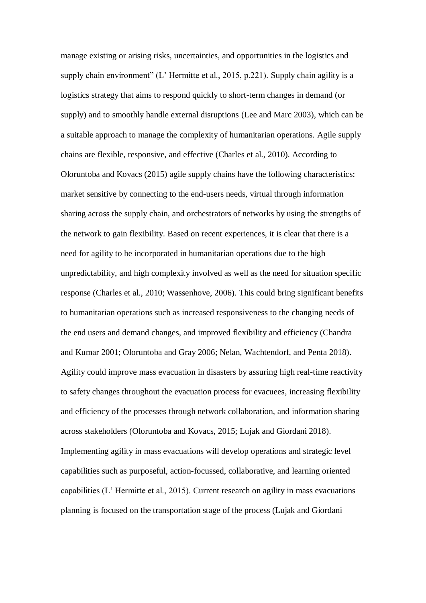manage existing or arising risks, uncertainties, and opportunities in the logistics and supply chain environment" (L' Hermitte et al., 2015, p.221). Supply chain agility is a logistics strategy that aims to respond quickly to short-term changes in demand (or supply) and to smoothly handle external disruptions (Lee and Marc 2003), which can be a suitable approach to manage the complexity of humanitarian operations. Agile supply chains are flexible, responsive, and effective (Charles et al., 2010). According to Oloruntoba and Kovacs (2015) agile supply chains have the following characteristics: market sensitive by connecting to the end-users needs, virtual through information sharing across the supply chain, and orchestrators of networks by using the strengths of the network to gain flexibility. Based on recent experiences, it is clear that there is a need for agility to be incorporated in humanitarian operations due to the high unpredictability, and high complexity involved as well as the need for situation specific response (Charles et al., 2010; Wassenhove, 2006). This could bring significant benefits to humanitarian operations such as increased responsiveness to the changing needs of the end users and demand changes, and improved flexibility and efficiency (Chandra and Kumar 2001; Oloruntoba and Gray 2006; Nelan, Wachtendorf, and Penta 2018). Agility could improve mass evacuation in disasters by assuring high real-time reactivity to safety changes throughout the evacuation process for evacuees, increasing flexibility and efficiency of the processes through network collaboration, and information sharing across stakeholders (Oloruntoba and Kovacs, 2015; Lujak and Giordani 2018). Implementing agility in mass evacuations will develop operations and strategic level capabilities such as purposeful, action-focussed, collaborative, and learning oriented capabilities (L' Hermitte et al., 2015). Current research on agility in mass evacuations planning is focused on the transportation stage of the process (Lujak and Giordani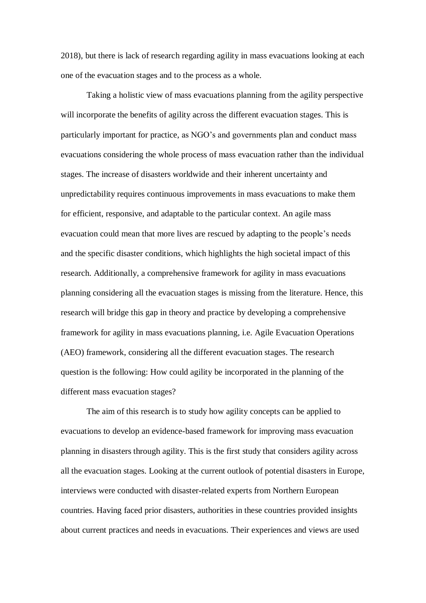2018), but there is lack of research regarding agility in mass evacuations looking at each one of the evacuation stages and to the process as a whole.

Taking a holistic view of mass evacuations planning from the agility perspective will incorporate the benefits of agility across the different evacuation stages. This is particularly important for practice, as NGO's and governments plan and conduct mass evacuations considering the whole process of mass evacuation rather than the individual stages. The increase of disasters worldwide and their inherent uncertainty and unpredictability requires continuous improvements in mass evacuations to make them for efficient, responsive, and adaptable to the particular context. An agile mass evacuation could mean that more lives are rescued by adapting to the people's needs and the specific disaster conditions, which highlights the high societal impact of this research. Additionally, a comprehensive framework for agility in mass evacuations planning considering all the evacuation stages is missing from the literature. Hence, this research will bridge this gap in theory and practice by developing a comprehensive framework for agility in mass evacuations planning, i.e. Agile Evacuation Operations (AEO) framework, considering all the different evacuation stages. The research question is the following: How could agility be incorporated in the planning of the different mass evacuation stages?

The aim of this research is to study how agility concepts can be applied to evacuations to develop an evidence-based framework for improving mass evacuation planning in disasters through agility. This is the first study that considers agility across all the evacuation stages. Looking at the current outlook of potential disasters in Europe, interviews were conducted with disaster-related experts from Northern European countries. Having faced prior disasters, authorities in these countries provided insights about current practices and needs in evacuations. Their experiences and views are used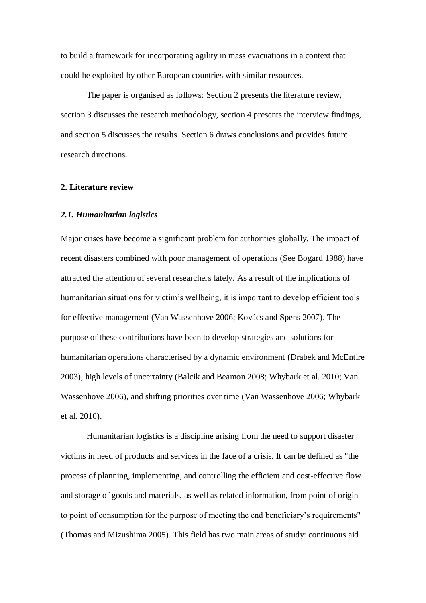to build a framework for incorporating agility in mass evacuations in a context that could be exploited by other European countries with similar resources.

The paper is organised as follows: Section 2 presents the literature review, section 3 discusses the research methodology, section 4 presents the interview findings, and section 5 discusses the results. Section 6 draws conclusions and provides future research directions.

#### **2. Literature review**

## *2.1. Humanitarian logistics*

Major crises have become a significant problem for authorities globally. The impact of recent disasters combined with poor management of operations (See Bogard 1988) have attracted the attention of several researchers lately. As a result of the implications of humanitarian situations for victim's wellbeing, it is important to develop efficient tools for effective management (Van Wassenhove 2006; Kovács and Spens 2007). The purpose of these contributions have been to develop strategies and solutions for humanitarian operations characterised by a dynamic environment (Drabek and McEntire 2003), high levels of uncertainty (Balcik and Beamon 2008; Whybark et al. 2010; Van Wassenhove 2006), and shifting priorities over time (Van Wassenhove 2006; Whybark et al. 2010).

Humanitarian logistics is a discipline arising from the need to support disaster victims in need of products and services in the face of a crisis. It can be defined as "the process of planning, implementing, and controlling the efficient and cost-effective flow and storage of goods and materials, as well as related information, from point of origin to point of consumption for the purpose of meeting the end beneficiary's requirements" (Thomas and Mizushima 2005). This field has two main areas of study: continuous aid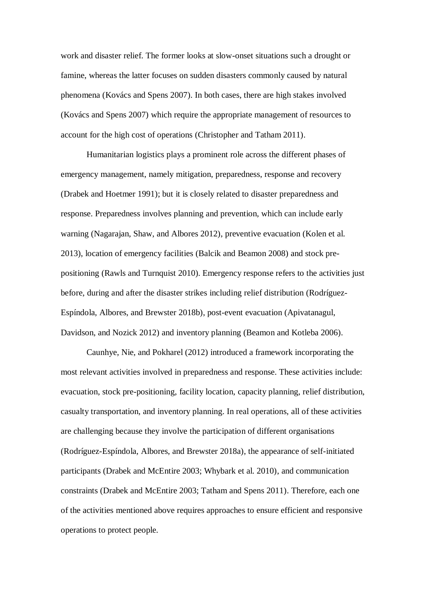work and disaster relief. The former looks at slow-onset situations such a drought or famine, whereas the latter focuses on sudden disasters commonly caused by natural phenomena (Kovács and Spens 2007). In both cases, there are high stakes involved (Kovács and Spens 2007) which require the appropriate management of resources to account for the high cost of operations (Christopher and Tatham 2011).

Humanitarian logistics plays a prominent role across the different phases of emergency management, namely mitigation, preparedness, response and recovery (Drabek and Hoetmer 1991); but it is closely related to disaster preparedness and response. Preparedness involves planning and prevention, which can include early warning (Nagarajan, Shaw, and Albores 2012), preventive evacuation (Kolen et al. 2013), location of emergency facilities (Balcik and Beamon 2008) and stock prepositioning (Rawls and Turnquist 2010). Emergency response refers to the activities just before, during and after the disaster strikes including relief distribution (Rodríguez-Espíndola, Albores, and Brewster 2018b), post-event evacuation (Apivatanagul, Davidson, and Nozick 2012) and inventory planning (Beamon and Kotleba 2006).

Caunhye, Nie, and Pokharel (2012) introduced a framework incorporating the most relevant activities involved in preparedness and response. These activities include: evacuation, stock pre-positioning, facility location, capacity planning, relief distribution, casualty transportation, and inventory planning. In real operations, all of these activities are challenging because they involve the participation of different organisations (Rodríguez-Espíndola, Albores, and Brewster 2018a), the appearance of self-initiated participants (Drabek and McEntire 2003; Whybark et al. 2010), and communication constraints (Drabek and McEntire 2003; Tatham and Spens 2011). Therefore, each one of the activities mentioned above requires approaches to ensure efficient and responsive operations to protect people.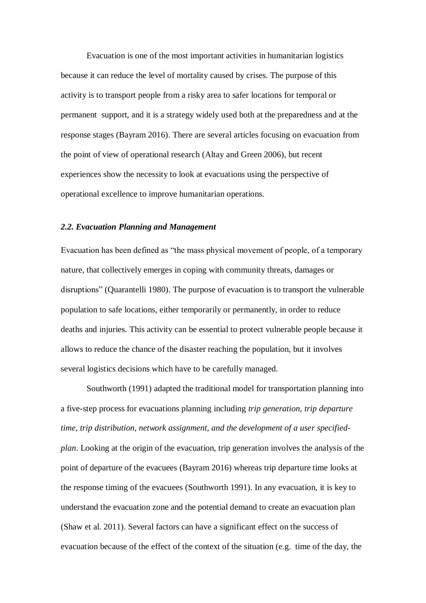Evacuation is one of the most important activities in humanitarian logistics because it can reduce the level of mortality caused by crises. The purpose of this activity is to transport people from a risky area to safer locations for temporal or permanent support, and it is a strategy widely used both at the preparedness and at the response stages (Bayram 2016). There are several articles focusing on evacuation from the point of view of operational research (Altay and Green 2006), but recent experiences show the necessity to look at evacuations using the perspective of operational excellence to improve humanitarian operations.

## *2.2. Evacuation Planning and Management*

Evacuation has been defined as "the mass physical movement of people, of a temporary nature, that collectively emerges in coping with community threats, damages or disruptions" (Quarantelli 1980). The purpose of evacuation is to transport the vulnerable population to safe locations, either temporarily or permanently, in order to reduce deaths and injuries. This activity can be essential to protect vulnerable people because it allows to reduce the chance of the disaster reaching the population, but it involves several logistics decisions which have to be carefully managed.

Southworth (1991) adapted the traditional model for transportation planning into a five-step process for evacuations planning including *trip generation, trip departure time, trip distribution, network assignment, and the development of a user specifiedplan*. Looking at the origin of the evacuation, trip generation involves the analysis of the point of departure of the evacuees (Bayram 2016) whereas trip departure time looks at the response timing of the evacuees (Southworth 1991). In any evacuation, it is key to understand the evacuation zone and the potential demand to create an evacuation plan (Shaw et al. 2011). Several factors can have a significant effect on the success of evacuation because of the effect of the context of the situation (e.g. time of the day, the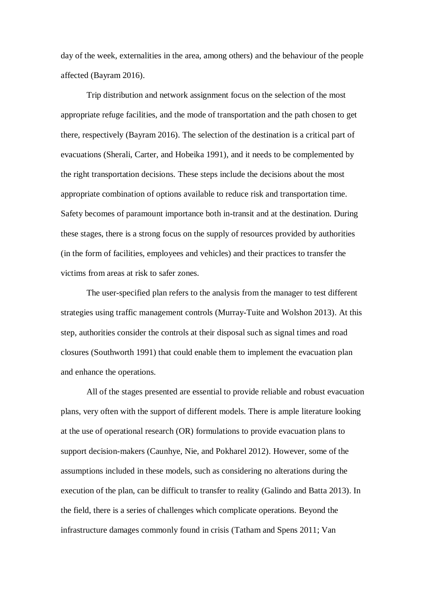day of the week, externalities in the area, among others) and the behaviour of the people affected (Bayram 2016).

Trip distribution and network assignment focus on the selection of the most appropriate refuge facilities, and the mode of transportation and the path chosen to get there, respectively (Bayram 2016). The selection of the destination is a critical part of evacuations (Sherali, Carter, and Hobeika 1991), and it needs to be complemented by the right transportation decisions. These steps include the decisions about the most appropriate combination of options available to reduce risk and transportation time. Safety becomes of paramount importance both in-transit and at the destination. During these stages, there is a strong focus on the supply of resources provided by authorities (in the form of facilities, employees and vehicles) and their practices to transfer the victims from areas at risk to safer zones.

The user-specified plan refers to the analysis from the manager to test different strategies using traffic management controls (Murray-Tuite and Wolshon 2013). At this step, authorities consider the controls at their disposal such as signal times and road closures (Southworth 1991) that could enable them to implement the evacuation plan and enhance the operations.

All of the stages presented are essential to provide reliable and robust evacuation plans, very often with the support of different models. There is ample literature looking at the use of operational research (OR) formulations to provide evacuation plans to support decision-makers (Caunhye, Nie, and Pokharel 2012). However, some of the assumptions included in these models, such as considering no alterations during the execution of the plan, can be difficult to transfer to reality (Galindo and Batta 2013). In the field, there is a series of challenges which complicate operations. Beyond the infrastructure damages commonly found in crisis (Tatham and Spens 2011; Van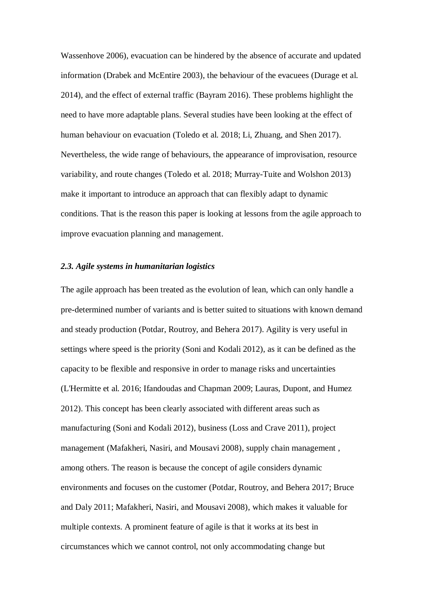Wassenhove 2006), evacuation can be hindered by the absence of accurate and updated information (Drabek and McEntire 2003), the behaviour of the evacuees (Durage et al. 2014), and the effect of external traffic (Bayram 2016). These problems highlight the need to have more adaptable plans. Several studies have been looking at the effect of human behaviour on evacuation (Toledo et al. 2018; Li, Zhuang, and Shen 2017). Nevertheless, the wide range of behaviours, the appearance of improvisation, resource variability, and route changes (Toledo et al. 2018; Murray-Tuite and Wolshon 2013) make it important to introduce an approach that can flexibly adapt to dynamic conditions. That is the reason this paper is looking at lessons from the agile approach to improve evacuation planning and management.

#### *2.3. Agile systems in humanitarian logistics*

The agile approach has been treated as the evolution of lean, which can only handle a pre-determined number of variants and is better suited to situations with known demand and steady production (Potdar, Routroy, and Behera 2017). Agility is very useful in settings where speed is the priority (Soni and Kodali 2012), as it can be defined as the capacity to be flexible and responsive in order to manage risks and uncertainties (L'Hermitte et al. 2016; Ifandoudas and Chapman 2009; Lauras, Dupont, and Humez 2012). This concept has been clearly associated with different areas such as manufacturing (Soni and Kodali 2012), business (Loss and Crave 2011), project management (Mafakheri, Nasiri, and Mousavi 2008), supply chain management , among others. The reason is because the concept of agile considers dynamic environments and focuses on the customer (Potdar, Routroy, and Behera 2017; Bruce and Daly 2011; Mafakheri, Nasiri, and Mousavi 2008), which makes it valuable for multiple contexts. A prominent feature of agile is that it works at its best in circumstances which we cannot control, not only accommodating change but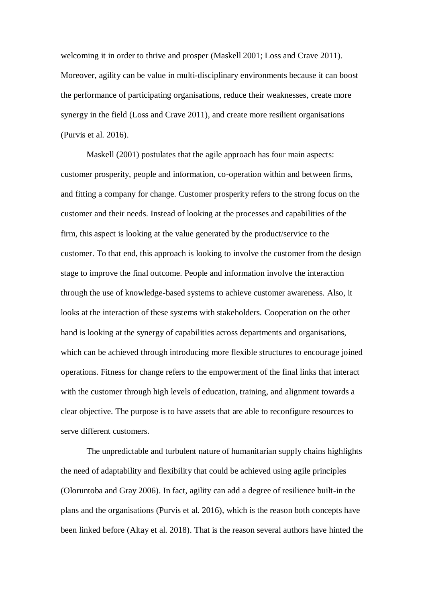welcoming it in order to thrive and prosper (Maskell 2001; Loss and Crave 2011). Moreover, agility can be value in multi-disciplinary environments because it can boost the performance of participating organisations, reduce their weaknesses, create more synergy in the field (Loss and Crave 2011), and create more resilient organisations (Purvis et al. 2016).

Maskell (2001) postulates that the agile approach has four main aspects: customer prosperity, people and information, co-operation within and between firms, and fitting a company for change. Customer prosperity refers to the strong focus on the customer and their needs. Instead of looking at the processes and capabilities of the firm, this aspect is looking at the value generated by the product/service to the customer. To that end, this approach is looking to involve the customer from the design stage to improve the final outcome. People and information involve the interaction through the use of knowledge-based systems to achieve customer awareness. Also, it looks at the interaction of these systems with stakeholders. Cooperation on the other hand is looking at the synergy of capabilities across departments and organisations, which can be achieved through introducing more flexible structures to encourage joined operations. Fitness for change refers to the empowerment of the final links that interact with the customer through high levels of education, training, and alignment towards a clear objective. The purpose is to have assets that are able to reconfigure resources to serve different customers.

The unpredictable and turbulent nature of humanitarian supply chains highlights the need of adaptability and flexibility that could be achieved using agile principles (Oloruntoba and Gray 2006). In fact, agility can add a degree of resilience built-in the plans and the organisations (Purvis et al. 2016), which is the reason both concepts have been linked before (Altay et al. 2018). That is the reason several authors have hinted the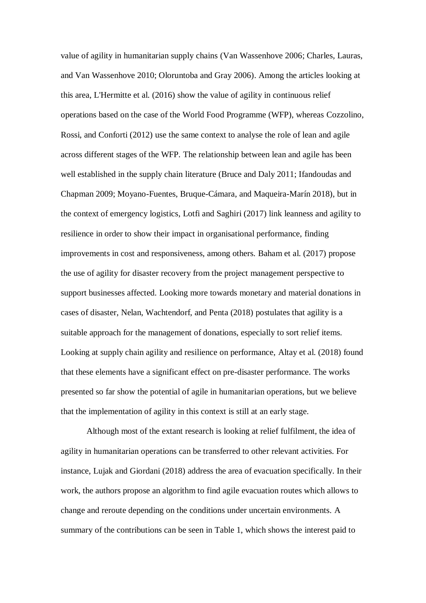value of agility in humanitarian supply chains (Van Wassenhove 2006; Charles, Lauras, and Van Wassenhove 2010; Oloruntoba and Gray 2006). Among the articles looking at this area, L'Hermitte et al. (2016) show the value of agility in continuous relief operations based on the case of the World Food Programme (WFP), whereas Cozzolino, Rossi, and Conforti (2012) use the same context to analyse the role of lean and agile across different stages of the WFP. The relationship between lean and agile has been well established in the supply chain literature (Bruce and Daly 2011; Ifandoudas and Chapman 2009; Moyano-Fuentes, Bruque-Cámara, and Maqueira-Marín 2018), but in the context of emergency logistics, Lotfi and Saghiri (2017) link leanness and agility to resilience in order to show their impact in organisational performance, finding improvements in cost and responsiveness, among others. Baham et al. (2017) propose the use of agility for disaster recovery from the project management perspective to support businesses affected. Looking more towards monetary and material donations in cases of disaster, Nelan, Wachtendorf, and Penta (2018) postulates that agility is a suitable approach for the management of donations, especially to sort relief items. Looking at supply chain agility and resilience on performance, Altay et al. (2018) found that these elements have a significant effect on pre-disaster performance. The works presented so far show the potential of agile in humanitarian operations, but we believe that the implementation of agility in this context is still at an early stage.

Although most of the extant research is looking at relief fulfilment, the idea of agility in humanitarian operations can be transferred to other relevant activities. For instance, Lujak and Giordani (2018) address the area of evacuation specifically. In their work, the authors propose an algorithm to find agile evacuation routes which allows to change and reroute depending on the conditions under uncertain environments. A summary of the contributions can be seen in [Table 1,](#page-11-0) which shows the interest paid to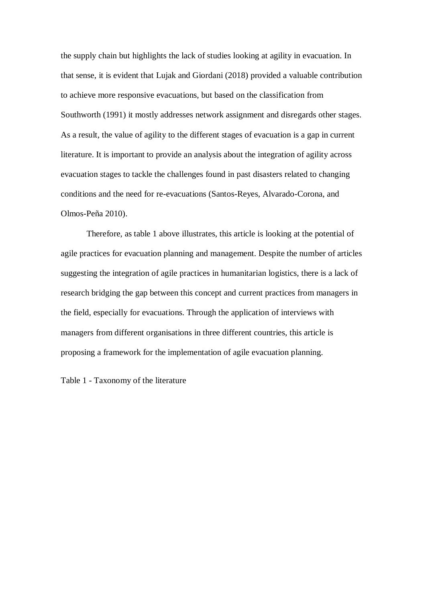the supply chain but highlights the lack of studies looking at agility in evacuation. In that sense, it is evident that Lujak and Giordani (2018) provided a valuable contribution to achieve more responsive evacuations, but based on the classification from Southworth (1991) it mostly addresses network assignment and disregards other stages. As a result, the value of agility to the different stages of evacuation is a gap in current literature. It is important to provide an analysis about the integration of agility across evacuation stages to tackle the challenges found in past disasters related to changing conditions and the need for re-evacuations (Santos-Reyes, Alvarado-Corona, and Olmos-Peña 2010).

Therefore, as table 1 above illustrates, this article is looking at the potential of agile practices for evacuation planning and management. Despite the number of articles suggesting the integration of agile practices in humanitarian logistics, there is a lack of research bridging the gap between this concept and current practices from managers in the field, especially for evacuations. Through the application of interviews with managers from different organisations in three different countries, this article is proposing a framework for the implementation of agile evacuation planning.

<span id="page-11-0"></span>Table 1 - Taxonomy of the literature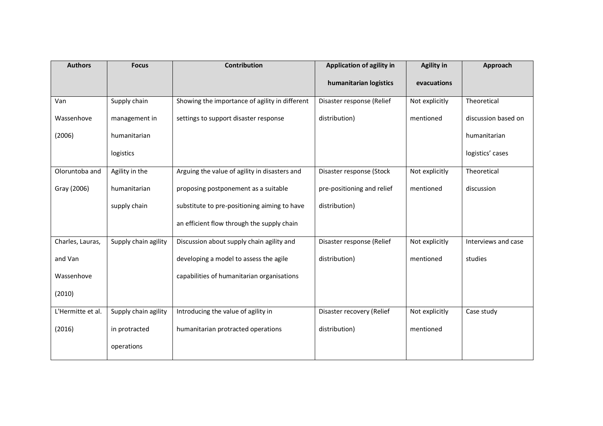| <b>Authors</b>    | <b>Focus</b>         | <b>Contribution</b>                            | Application of agility in  | <b>Agility in</b> | Approach            |
|-------------------|----------------------|------------------------------------------------|----------------------------|-------------------|---------------------|
|                   |                      |                                                | humanitarian logistics     | evacuations       |                     |
| Van               | Supply chain         | Showing the importance of agility in different | Disaster response (Relief  | Not explicitly    | Theoretical         |
| Wassenhove        | management in        | settings to support disaster response          | distribution)              | mentioned         | discussion based on |
| (2006)            | humanitarian         |                                                |                            |                   | humanitarian        |
|                   | logistics            |                                                |                            |                   | logistics' cases    |
| Oloruntoba and    | Agility in the       | Arguing the value of agility in disasters and  | Disaster response (Stock   | Not explicitly    | Theoretical         |
| Gray (2006)       | humanitarian         | proposing postponement as a suitable           | pre-positioning and relief | mentioned         | discussion          |
|                   | supply chain         | substitute to pre-positioning aiming to have   | distribution)              |                   |                     |
|                   |                      | an efficient flow through the supply chain     |                            |                   |                     |
| Charles, Lauras,  | Supply chain agility | Discussion about supply chain agility and      | Disaster response (Relief  | Not explicitly    | Interviews and case |
| and Van           |                      | developing a model to assess the agile         | distribution)              | mentioned         | studies             |
| Wassenhove        |                      | capabilities of humanitarian organisations     |                            |                   |                     |
| (2010)            |                      |                                                |                            |                   |                     |
| L'Hermitte et al. | Supply chain agility | Introducing the value of agility in            | Disaster recovery (Relief  | Not explicitly    | Case study          |
| (2016)            | in protracted        | humanitarian protracted operations             | distribution)              | mentioned         |                     |
|                   | operations           |                                                |                            |                   |                     |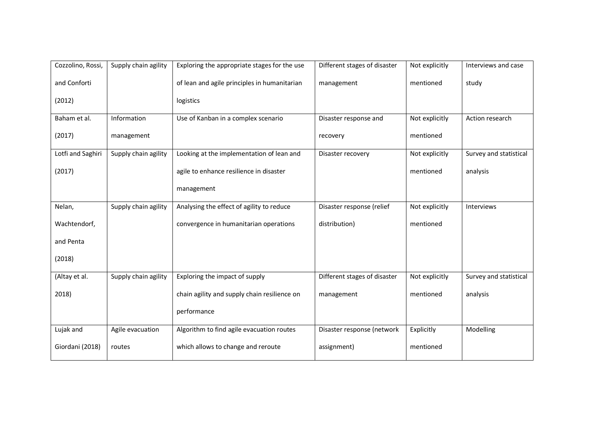| Cozzolino, Rossi, | Supply chain agility | Exploring the appropriate stages for the use | Different stages of disaster | Not explicitly | Interviews and case    |
|-------------------|----------------------|----------------------------------------------|------------------------------|----------------|------------------------|
| and Conforti      |                      | of lean and agile principles in humanitarian | management                   | mentioned      | study                  |
| (2012)            |                      | logistics                                    |                              |                |                        |
| Baham et al.      | Information          | Use of Kanban in a complex scenario          | Disaster response and        | Not explicitly | Action research        |
| (2017)            | management           |                                              | recovery                     | mentioned      |                        |
| Lotfi and Saghiri | Supply chain agility | Looking at the implementation of lean and    | Disaster recovery            | Not explicitly | Survey and statistical |
| (2017)            |                      | agile to enhance resilience in disaster      |                              | mentioned      | analysis               |
|                   |                      | management                                   |                              |                |                        |
| Nelan,            | Supply chain agility | Analysing the effect of agility to reduce    | Disaster response (relief    | Not explicitly | Interviews             |
| Wachtendorf,      |                      | convergence in humanitarian operations       | distribution)                | mentioned      |                        |
| and Penta         |                      |                                              |                              |                |                        |
| (2018)            |                      |                                              |                              |                |                        |
| (Altay et al.     | Supply chain agility | Exploring the impact of supply               | Different stages of disaster | Not explicitly | Survey and statistical |
| 2018)             |                      | chain agility and supply chain resilience on | management                   | mentioned      | analysis               |
|                   |                      | performance                                  |                              |                |                        |
| Lujak and         | Agile evacuation     | Algorithm to find agile evacuation routes    | Disaster response (network   | Explicitly     | Modelling              |
| Giordani (2018)   | routes               | which allows to change and reroute           | assignment)                  | mentioned      |                        |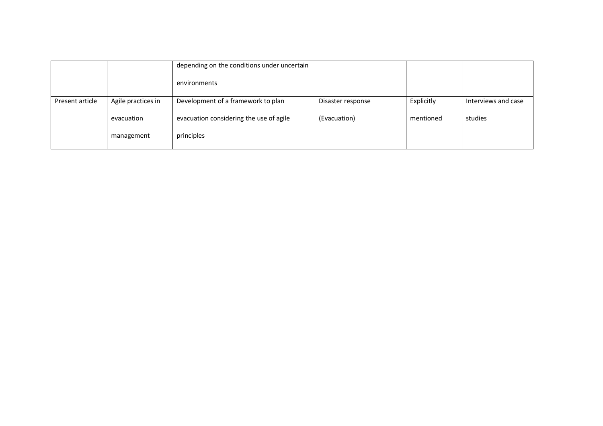|                 |                    | depending on the conditions under uncertain |                   |            |                     |
|-----------------|--------------------|---------------------------------------------|-------------------|------------|---------------------|
|                 |                    | environments                                |                   |            |                     |
| Present article | Agile practices in | Development of a framework to plan          | Disaster response | Explicitly | Interviews and case |
|                 | evacuation         | evacuation considering the use of agile     | (Evacuation)      | mentioned  | studies             |
|                 | management         | principles                                  |                   |            |                     |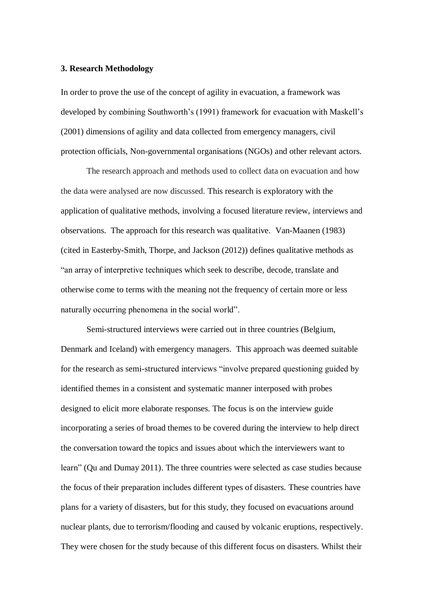#### **3. Research Methodology**

In order to prove the use of the concept of agility in evacuation, a framework was developed by combining Southworth's (1991) framework for evacuation with Maskell's (2001) dimensions of agility and data collected from emergency managers, civil protection officials, Non-governmental organisations (NGOs) and other relevant actors.

The research approach and methods used to collect data on evacuation and how the data were analysed are now discussed. This research is exploratory with the application of qualitative methods, involving a focused literature review, interviews and observations. The approach for this research was qualitative. Van-Maanen (1983) (cited in Easterby-Smith, Thorpe, and Jackson (2012)) defines qualitative methods as "an array of interpretive techniques which seek to describe, decode, translate and otherwise come to terms with the meaning not the frequency of certain more or less naturally occurring phenomena in the social world".

Semi-structured interviews were carried out in three countries (Belgium, Denmark and Iceland) with emergency managers. This approach was deemed suitable for the research as semi-structured interviews "involve prepared questioning guided by identified themes in a consistent and systematic manner interposed with probes designed to elicit more elaborate responses. The focus is on the interview guide incorporating a series of broad themes to be covered during the interview to help direct the conversation toward the topics and issues about which the interviewers want to learn" (Qu and Dumay 2011). The three countries were selected as case studies because the focus of their preparation includes different types of disasters. These countries have plans for a variety of disasters, but for this study, they focused on evacuations around nuclear plants, due to terrorism/flooding and caused by volcanic eruptions, respectively. They were chosen for the study because of this different focus on disasters. Whilst their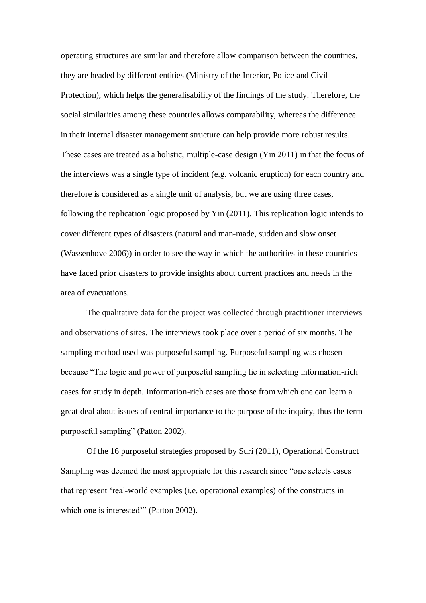operating structures are similar and therefore allow comparison between the countries, they are headed by different entities (Ministry of the Interior, Police and Civil Protection), which helps the generalisability of the findings of the study. Therefore, the social similarities among these countries allows comparability, whereas the difference in their internal disaster management structure can help provide more robust results. These cases are treated as a holistic, multiple-case design (Yin 2011) in that the focus of the interviews was a single type of incident (e.g. volcanic eruption) for each country and therefore is considered as a single unit of analysis, but we are using three cases, following the replication logic proposed by Yin (2011). This replication logic intends to cover different types of disasters (natural and man-made, sudden and slow onset (Wassenhove 2006)) in order to see the way in which the authorities in these countries have faced prior disasters to provide insights about current practices and needs in the area of evacuations.

The qualitative data for the project was collected through practitioner interviews and observations of sites. The interviews took place over a period of six months. The sampling method used was purposeful sampling. Purposeful sampling was chosen because "The logic and power of purposeful sampling lie in selecting information-rich cases for study in depth. Information-rich cases are those from which one can learn a great deal about issues of central importance to the purpose of the inquiry, thus the term purposeful sampling" (Patton 2002).

Of the 16 purposeful strategies proposed by Suri (2011), Operational Construct Sampling was deemed the most appropriate for this research since "one selects cases that represent 'real-world examples (i.e. operational examples) of the constructs in which one is interested" (Patton 2002).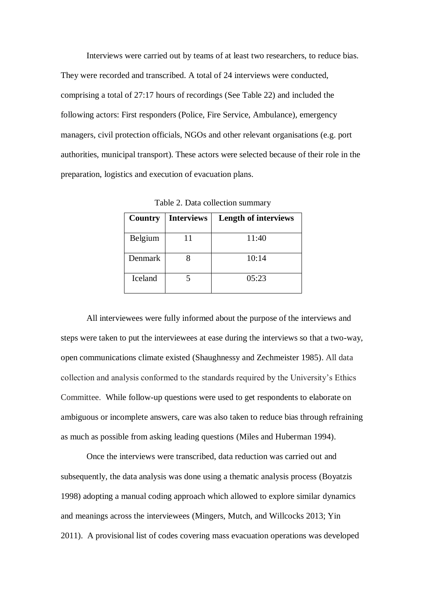Interviews were carried out by teams of at least two researchers, to reduce bias. They were recorded and transcribed. A total of 24 interviews were conducted, comprising a total of 27:17 hours of recordings (See [Table 22](#page-17-0)) and included the following actors: First responders (Police, Fire Service, Ambulance), emergency managers, civil protection officials, NGOs and other relevant organisations (e.g. port authorities, municipal transport). These actors were selected because of their role in the preparation, logistics and execution of evacuation plans.

<span id="page-17-0"></span>

| Country | <b>Interviews</b> | <b>Length of interviews</b> |
|---------|-------------------|-----------------------------|
| Belgium |                   | 11:40                       |
| Denmark |                   | 10:14                       |
| Iceland |                   | 0.5:23                      |

Table 2. Data collection summary

All interviewees were fully informed about the purpose of the interviews and steps were taken to put the interviewees at ease during the interviews so that a two-way, open communications climate existed (Shaughnessy and Zechmeister 1985). All data collection and analysis conformed to the standards required by the University's Ethics Committee. While follow-up questions were used to get respondents to elaborate on ambiguous or incomplete answers, care was also taken to reduce bias through refraining as much as possible from asking leading questions (Miles and Huberman 1994).

Once the interviews were transcribed, data reduction was carried out and subsequently, the data analysis was done using a thematic analysis process (Boyatzis 1998) adopting a manual coding approach which allowed to explore similar dynamics and meanings across the interviewees (Mingers, Mutch, and Willcocks 2013; Yin 2011). A provisional list of codes covering mass evacuation operations was developed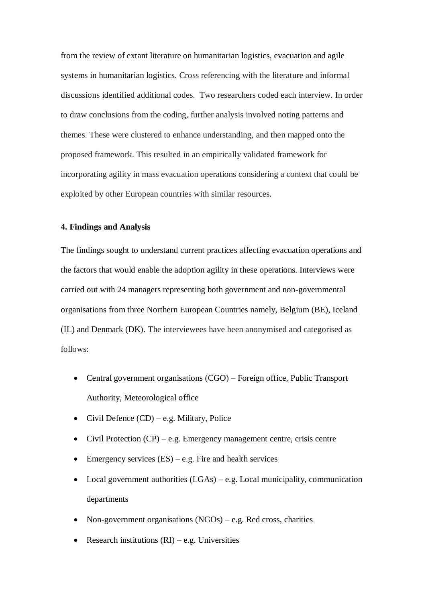from the review of extant literature on humanitarian logistics, evacuation and agile systems in humanitarian logistics. Cross referencing with the literature and informal discussions identified additional codes. Two researchers coded each interview. In order to draw conclusions from the coding, further analysis involved noting patterns and themes. These were clustered to enhance understanding, and then mapped onto the proposed framework. This resulted in an empirically validated framework for incorporating agility in mass evacuation operations considering a context that could be exploited by other European countries with similar resources.

# **4. Findings and Analysis**

The findings sought to understand current practices affecting evacuation operations and the factors that would enable the adoption agility in these operations. Interviews were carried out with 24 managers representing both government and non-governmental organisations from three Northern European Countries namely, Belgium (BE), Iceland (IL) and Denmark (DK). The interviewees have been anonymised and categorised as follows:

- Central government organisations (CGO) Foreign office, Public Transport Authority, Meteorological office
- Civil Defence  $(CD) e.g.$  Military, Police
- Civil Protection  $(CP) e.g.$  Emergency management centre, crisis centre
- Emergency services  $(ES) e.g.$  Fire and health services
- Local government authorities  $(LGAs) e.g.$  Local municipality, communication departments
- Non-government organisations  $(NGOs) e.g.$  Red cross, charities
- Research institutions  $(RI) e.g.$  Universities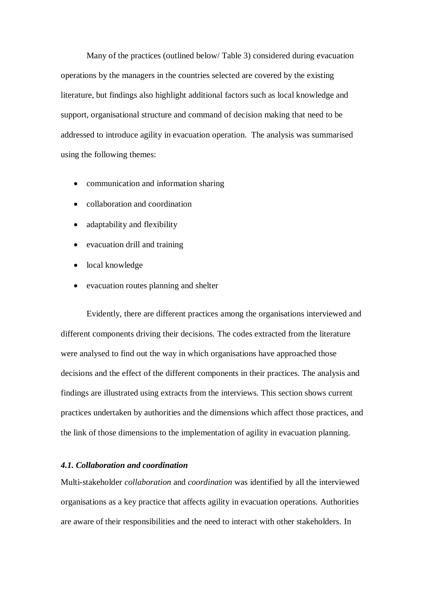Many of the practices (outlined below/ Table 3) considered during evacuation operations by the managers in the countries selected are covered by the existing literature, but findings also highlight additional factors such as local knowledge and support, organisational structure and command of decision making that need to be addressed to introduce agility in evacuation operation. The analysis was summarised using the following themes:

- communication and information sharing
- collaboration and coordination
- adaptability and flexibility
- evacuation drill and training
- local knowledge
- evacuation routes planning and shelter

Evidently, there are different practices among the organisations interviewed and different components driving their decisions. The codes extracted from the literature were analysed to find out the way in which organisations have approached those decisions and the effect of the different components in their practices. The analysis and findings are illustrated using extracts from the interviews. This section shows current practices undertaken by authorities and the dimensions which affect those practices, and the link of those dimensions to the implementation of agility in evacuation planning.

#### *4.1. Collaboration and coordination*

Multi-stakeholder *collaboration* and *coordination* was identified by all the interviewed organisations as a key practice that affects agility in evacuation operations. Authorities are aware of their responsibilities and the need to interact with other stakeholders. In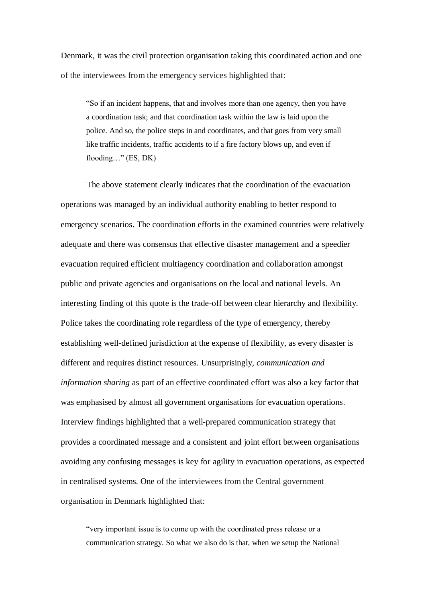Denmark, it was the civil protection organisation taking this coordinated action and one of the interviewees from the emergency services highlighted that:

"So if an incident happens, that and involves more than one agency, then you have a coordination task; and that coordination task within the law is laid upon the police. And so, the police steps in and coordinates, and that goes from very small like traffic incidents, traffic accidents to if a fire factory blows up, and even if flooding…" (ES, DK)

The above statement clearly indicates that the coordination of the evacuation operations was managed by an individual authority enabling to better respond to emergency scenarios. The coordination efforts in the examined countries were relatively adequate and there was consensus that effective disaster management and a speedier evacuation required efficient multiagency coordination and collaboration amongst public and private agencies and organisations on the local and national levels. An interesting finding of this quote is the trade-off between clear hierarchy and flexibility. Police takes the coordinating role regardless of the type of emergency, thereby establishing well-defined jurisdiction at the expense of flexibility, as every disaster is different and requires distinct resources. Unsurprisingly, *communication and information sharing* as part of an effective coordinated effort was also a key factor that was emphasised by almost all government organisations for evacuation operations. Interview findings highlighted that a well-prepared communication strategy that provides a coordinated message and a consistent and joint effort between organisations avoiding any confusing messages is key for agility in evacuation operations, as expected in centralised systems. One of the interviewees from the Central government organisation in Denmark highlighted that:

"very important issue is to come up with the coordinated press release or a communication strategy. So what we also do is that, when we setup the National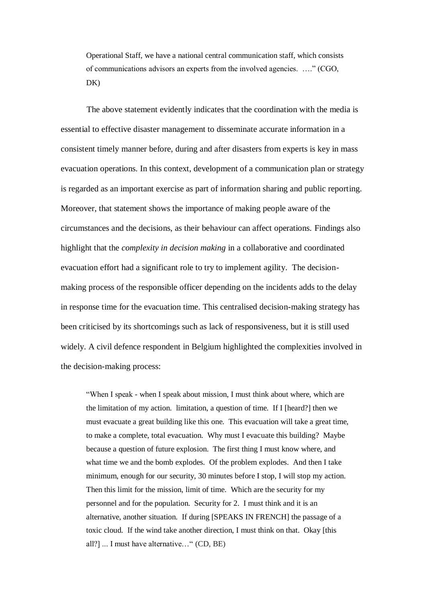Operational Staff, we have a national central communication staff, which consists of communications advisors an experts from the involved agencies. …." (CGO, DK)

The above statement evidently indicates that the coordination with the media is essential to effective disaster management to disseminate accurate information in a consistent timely manner before, during and after disasters from experts is key in mass evacuation operations. In this context, development of a communication plan or strategy is regarded as an important exercise as part of information sharing and public reporting. Moreover, that statement shows the importance of making people aware of the circumstances and the decisions, as their behaviour can affect operations. Findings also highlight that the *complexity in decision making* in a collaborative and coordinated evacuation effort had a significant role to try to implement agility. The decisionmaking process of the responsible officer depending on the incidents adds to the delay in response time for the evacuation time. This centralised decision-making strategy has been criticised by its shortcomings such as lack of responsiveness, but it is still used widely. A civil defence respondent in Belgium highlighted the complexities involved in the decision-making process:

"When I speak - when I speak about mission, I must think about where, which are the limitation of my action. limitation, a question of time. If I [heard?] then we must evacuate a great building like this one. This evacuation will take a great time, to make a complete, total evacuation. Why must I evacuate this building? Maybe because a question of future explosion. The first thing I must know where, and what time we and the bomb explodes. Of the problem explodes. And then I take minimum, enough for our security, 30 minutes before I stop, I will stop my action. Then this limit for the mission, limit of time. Which are the security for my personnel and for the population. Security for 2. I must think and it is an alternative, another situation. If during [SPEAKS IN FRENCH] the passage of a toxic cloud. If the wind take another direction, I must think on that. Okay [this all?] ... I must have alternative…" (CD, BE)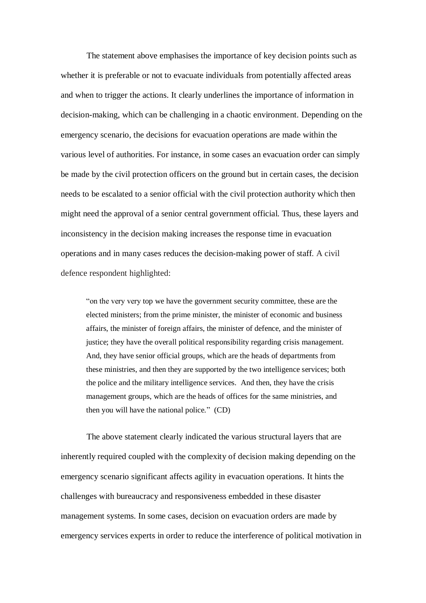The statement above emphasises the importance of key decision points such as whether it is preferable or not to evacuate individuals from potentially affected areas and when to trigger the actions. It clearly underlines the importance of information in decision-making, which can be challenging in a chaotic environment. Depending on the emergency scenario, the decisions for evacuation operations are made within the various level of authorities. For instance, in some cases an evacuation order can simply be made by the civil protection officers on the ground but in certain cases, the decision needs to be escalated to a senior official with the civil protection authority which then might need the approval of a senior central government official. Thus, these layers and inconsistency in the decision making increases the response time in evacuation operations and in many cases reduces the decision-making power of staff. A civil defence respondent highlighted:

"on the very very top we have the government security committee, these are the elected ministers; from the prime minister, the minister of economic and business affairs, the minister of foreign affairs, the minister of defence, and the minister of justice; they have the overall political responsibility regarding crisis management. And, they have senior official groups, which are the heads of departments from these ministries, and then they are supported by the two intelligence services; both the police and the military intelligence services. And then, they have the crisis management groups, which are the heads of offices for the same ministries, and then you will have the national police." (CD)

The above statement clearly indicated the various structural layers that are inherently required coupled with the complexity of decision making depending on the emergency scenario significant affects agility in evacuation operations. It hints the challenges with bureaucracy and responsiveness embedded in these disaster management systems. In some cases, decision on evacuation orders are made by emergency services experts in order to reduce the interference of political motivation in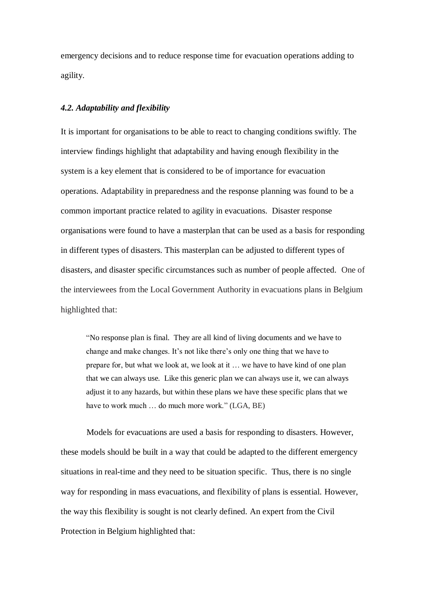emergency decisions and to reduce response time for evacuation operations adding to agility.

# *4.2. Adaptability and flexibility*

It is important for organisations to be able to react to changing conditions swiftly. The interview findings highlight that adaptability and having enough flexibility in the system is a key element that is considered to be of importance for evacuation operations. Adaptability in preparedness and the response planning was found to be a common important practice related to agility in evacuations. Disaster response organisations were found to have a masterplan that can be used as a basis for responding in different types of disasters. This masterplan can be adjusted to different types of disasters, and disaster specific circumstances such as number of people affected. One of the interviewees from the Local Government Authority in evacuations plans in Belgium highlighted that:

"No response plan is final. They are all kind of living documents and we have to change and make changes. It's not like there's only one thing that we have to prepare for, but what we look at, we look at it … we have to have kind of one plan that we can always use. Like this generic plan we can always use it, we can always adjust it to any hazards, but within these plans we have these specific plans that we have to work much … do much more work." (LGA, BE)

Models for evacuations are used a basis for responding to disasters. However, these models should be built in a way that could be adapted to the different emergency situations in real-time and they need to be situation specific. Thus, there is no single way for responding in mass evacuations, and flexibility of plans is essential. However, the way this flexibility is sought is not clearly defined. An expert from the Civil Protection in Belgium highlighted that: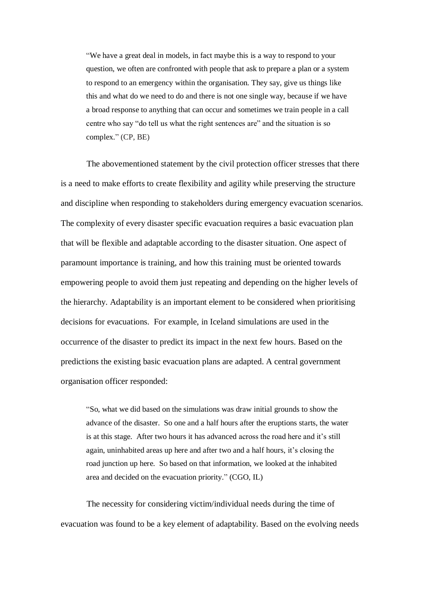"We have a great deal in models, in fact maybe this is a way to respond to your question, we often are confronted with people that ask to prepare a plan or a system to respond to an emergency within the organisation. They say, give us things like this and what do we need to do and there is not one single way, because if we have a broad response to anything that can occur and sometimes we train people in a call centre who say "do tell us what the right sentences are" and the situation is so complex." (CP, BE)

The abovementioned statement by the civil protection officer stresses that there is a need to make efforts to create flexibility and agility while preserving the structure and discipline when responding to stakeholders during emergency evacuation scenarios. The complexity of every disaster specific evacuation requires a basic evacuation plan that will be flexible and adaptable according to the disaster situation. One aspect of paramount importance is training, and how this training must be oriented towards empowering people to avoid them just repeating and depending on the higher levels of the hierarchy. Adaptability is an important element to be considered when prioritising decisions for evacuations. For example, in Iceland simulations are used in the occurrence of the disaster to predict its impact in the next few hours. Based on the predictions the existing basic evacuation plans are adapted. A central government organisation officer responded:

"So, what we did based on the simulations was draw initial grounds to show the advance of the disaster. So one and a half hours after the eruptions starts, the water is at this stage. After two hours it has advanced across the road here and it's still again, uninhabited areas up here and after two and a half hours, it's closing the road junction up here. So based on that information, we looked at the inhabited area and decided on the evacuation priority." (CGO, IL)

The necessity for considering victim/individual needs during the time of evacuation was found to be a key element of adaptability. Based on the evolving needs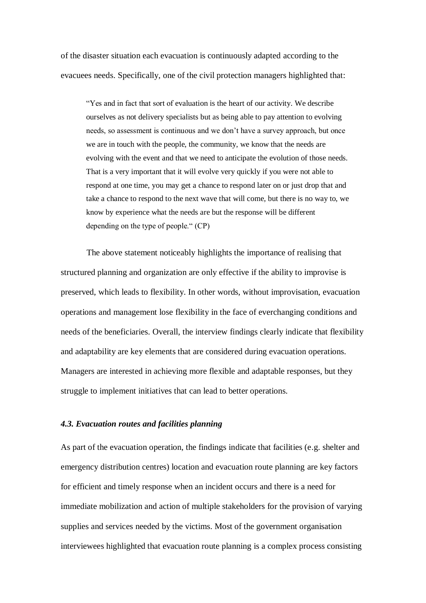of the disaster situation each evacuation is continuously adapted according to the evacuees needs. Specifically, one of the civil protection managers highlighted that:

"Yes and in fact that sort of evaluation is the heart of our activity. We describe ourselves as not delivery specialists but as being able to pay attention to evolving needs, so assessment is continuous and we don't have a survey approach, but once we are in touch with the people, the community, we know that the needs are evolving with the event and that we need to anticipate the evolution of those needs. That is a very important that it will evolve very quickly if you were not able to respond at one time, you may get a chance to respond later on or just drop that and take a chance to respond to the next wave that will come, but there is no way to, we know by experience what the needs are but the response will be different depending on the type of people." (CP)

The above statement noticeably highlights the importance of realising that structured planning and organization are only effective if the ability to improvise is preserved, which leads to flexibility. In other words, without improvisation, evacuation operations and management lose flexibility in the face of everchanging conditions and needs of the beneficiaries. Overall, the interview findings clearly indicate that flexibility and adaptability are key elements that are considered during evacuation operations. Managers are interested in achieving more flexible and adaptable responses, but they struggle to implement initiatives that can lead to better operations.

# *4.3. Evacuation routes and facilities planning*

As part of the evacuation operation, the findings indicate that facilities (e.g. shelter and emergency distribution centres) location and evacuation route planning are key factors for efficient and timely response when an incident occurs and there is a need for immediate mobilization and action of multiple stakeholders for the provision of varying supplies and services needed by the victims. Most of the government organisation interviewees highlighted that evacuation route planning is a complex process consisting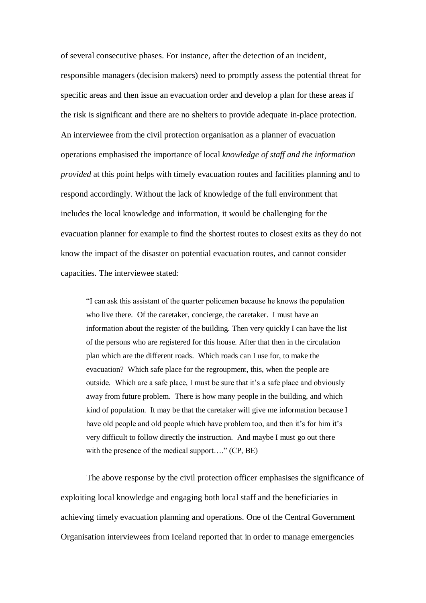of several consecutive phases. For instance, after the detection of an incident, responsible managers (decision makers) need to promptly assess the potential threat for specific areas and then issue an evacuation order and develop a plan for these areas if the risk is significant and there are no shelters to provide adequate in-place protection. An interviewee from the civil protection organisation as a planner of evacuation operations emphasised the importance of local *knowledge of staff and the information provided* at this point helps with timely evacuation routes and facilities planning and to respond accordingly. Without the lack of knowledge of the full environment that includes the local knowledge and information, it would be challenging for the evacuation planner for example to find the shortest routes to closest exits as they do not know the impact of the disaster on potential evacuation routes, and cannot consider capacities. The interviewee stated:

"I can ask this assistant of the quarter policemen because he knows the population who live there. Of the caretaker, concierge, the caretaker. I must have an information about the register of the building. Then very quickly I can have the list of the persons who are registered for this house. After that then in the circulation plan which are the different roads. Which roads can I use for, to make the evacuation? Which safe place for the regroupment, this, when the people are outside. Which are a safe place, I must be sure that it's a safe place and obviously away from future problem. There is how many people in the building, and which kind of population. It may be that the caretaker will give me information because I have old people and old people which have problem too, and then it's for him it's very difficult to follow directly the instruction. And maybe I must go out there with the presence of the medical support...." (CP, BE)

The above response by the civil protection officer emphasises the significance of exploiting local knowledge and engaging both local staff and the beneficiaries in achieving timely evacuation planning and operations. One of the Central Government Organisation interviewees from Iceland reported that in order to manage emergencies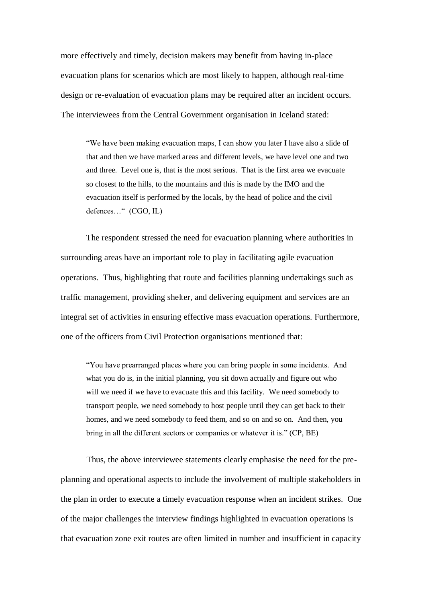more effectively and timely, decision makers may benefit from having in-place evacuation plans for scenarios which are most likely to happen, although real-time design or re-evaluation of evacuation plans may be required after an incident occurs. The interviewees from the Central Government organisation in Iceland stated:

"We have been making evacuation maps, I can show you later I have also a slide of that and then we have marked areas and different levels, we have level one and two and three. Level one is, that is the most serious. That is the first area we evacuate so closest to the hills, to the mountains and this is made by the IMO and the evacuation itself is performed by the locals, by the head of police and the civil defences…" (CGO, IL)

The respondent stressed the need for evacuation planning where authorities in surrounding areas have an important role to play in facilitating agile evacuation operations. Thus, highlighting that route and facilities planning undertakings such as traffic management, providing shelter, and delivering equipment and services are an integral set of activities in ensuring effective mass evacuation operations. Furthermore, one of the officers from Civil Protection organisations mentioned that:

"You have prearranged places where you can bring people in some incidents. And what you do is, in the initial planning, you sit down actually and figure out who will we need if we have to evacuate this and this facility. We need somebody to transport people, we need somebody to host people until they can get back to their homes, and we need somebody to feed them, and so on and so on. And then, you bring in all the different sectors or companies or whatever it is." (CP, BE)

Thus, the above interviewee statements clearly emphasise the need for the preplanning and operational aspects to include the involvement of multiple stakeholders in the plan in order to execute a timely evacuation response when an incident strikes. One of the major challenges the interview findings highlighted in evacuation operations is that evacuation zone exit routes are often limited in number and insufficient in capacity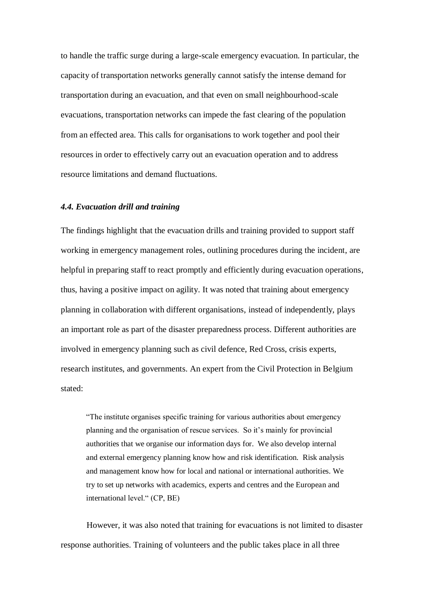to handle the traffic surge during a large-scale emergency evacuation. In particular, the capacity of transportation networks generally cannot satisfy the intense demand for transportation during an evacuation, and that even on small neighbourhood-scale evacuations, transportation networks can impede the fast clearing of the population from an effected area. This calls for organisations to work together and pool their resources in order to effectively carry out an evacuation operation and to address resource limitations and demand fluctuations.

#### *4.4. Evacuation drill and training*

The findings highlight that the evacuation drills and training provided to support staff working in emergency management roles, outlining procedures during the incident, are helpful in preparing staff to react promptly and efficiently during evacuation operations, thus, having a positive impact on agility. It was noted that training about emergency planning in collaboration with different organisations, instead of independently, plays an important role as part of the disaster preparedness process. Different authorities are involved in emergency planning such as civil defence, Red Cross, crisis experts, research institutes, and governments. An expert from the Civil Protection in Belgium stated:

"The institute organises specific training for various authorities about emergency planning and the organisation of rescue services. So it's mainly for provincial authorities that we organise our information days for. We also develop internal and external emergency planning know how and risk identification. Risk analysis and management know how for local and national or international authorities. We try to set up networks with academics, experts and centres and the European and international level." (CP, BE)

However, it was also noted that training for evacuations is not limited to disaster response authorities. Training of volunteers and the public takes place in all three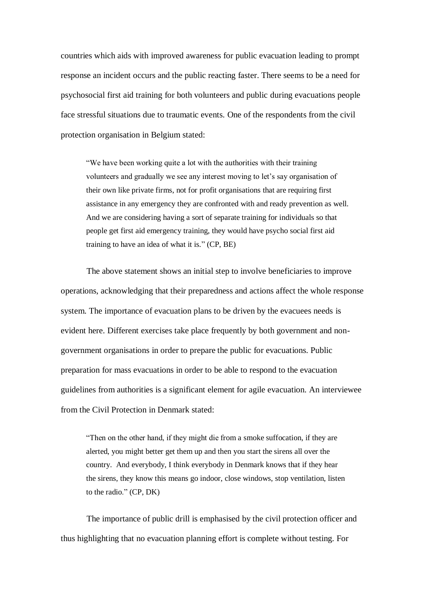countries which aids with improved awareness for public evacuation leading to prompt response an incident occurs and the public reacting faster. There seems to be a need for psychosocial first aid training for both volunteers and public during evacuations people face stressful situations due to traumatic events. One of the respondents from the civil protection organisation in Belgium stated:

"We have been working quite a lot with the authorities with their training volunteers and gradually we see any interest moving to let's say organisation of their own like private firms, not for profit organisations that are requiring first assistance in any emergency they are confronted with and ready prevention as well. And we are considering having a sort of separate training for individuals so that people get first aid emergency training, they would have psycho social first aid training to have an idea of what it is." (CP, BE)

The above statement shows an initial step to involve beneficiaries to improve operations, acknowledging that their preparedness and actions affect the whole response system. The importance of evacuation plans to be driven by the evacuees needs is evident here. Different exercises take place frequently by both government and nongovernment organisations in order to prepare the public for evacuations. Public preparation for mass evacuations in order to be able to respond to the evacuation guidelines from authorities is a significant element for agile evacuation. An interviewee from the Civil Protection in Denmark stated:

"Then on the other hand, if they might die from a smoke suffocation, if they are alerted, you might better get them up and then you start the sirens all over the country. And everybody, I think everybody in Denmark knows that if they hear the sirens, they know this means go indoor, close windows, stop ventilation, listen to the radio." (CP, DK)

The importance of public drill is emphasised by the civil protection officer and thus highlighting that no evacuation planning effort is complete without testing. For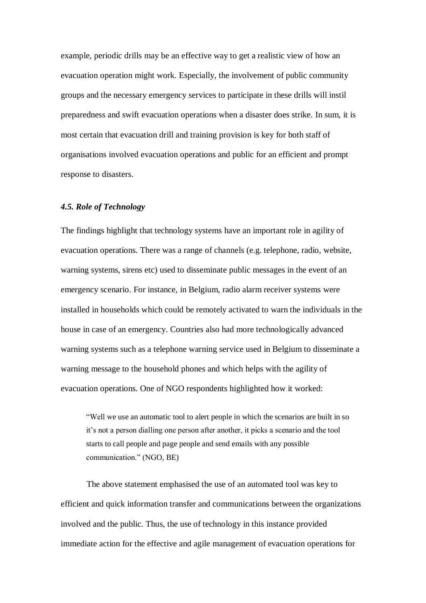example, periodic drills may be an effective way to get a realistic view of how an evacuation operation might work. Especially, the involvement of public community groups and the necessary emergency services to participate in these drills will instil preparedness and swift evacuation operations when a disaster does strike. In sum, it is most certain that evacuation drill and training provision is key for both staff of organisations involved evacuation operations and public for an efficient and prompt response to disasters.

## *4.5. Role of Technology*

The findings highlight that technology systems have an important role in agility of evacuation operations. There was a range of channels (e.g. telephone, radio, website, warning systems, sirens etc) used to disseminate public messages in the event of an emergency scenario. For instance, in Belgium, radio alarm receiver systems were installed in households which could be remotely activated to warn the individuals in the house in case of an emergency. Countries also had more technologically advanced warning systems such as a telephone warning service used in Belgium to disseminate a warning message to the household phones and which helps with the agility of evacuation operations. One of NGO respondents highlighted how it worked:

"Well we use an automatic tool to alert people in which the scenarios are built in so it's not a person dialling one person after another, it picks a scenario and the tool starts to call people and page people and send emails with any possible communication." (NGO, BE)

The above statement emphasised the use of an automated tool was key to efficient and quick information transfer and communications between the organizations involved and the public. Thus, the use of technology in this instance provided immediate action for the effective and agile management of evacuation operations for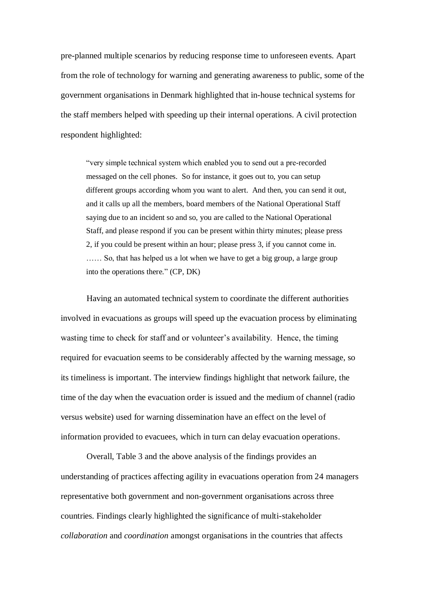pre-planned multiple scenarios by reducing response time to unforeseen events. Apart from the role of technology for warning and generating awareness to public, some of the government organisations in Denmark highlighted that in-house technical systems for the staff members helped with speeding up their internal operations. A civil protection respondent highlighted:

"very simple technical system which enabled you to send out a pre-recorded messaged on the cell phones. So for instance, it goes out to, you can setup different groups according whom you want to alert. And then, you can send it out, and it calls up all the members, board members of the National Operational Staff saying due to an incident so and so, you are called to the National Operational Staff, and please respond if you can be present within thirty minutes; please press 2, if you could be present within an hour; please press 3, if you cannot come in. …… So, that has helped us a lot when we have to get a big group, a large group into the operations there." (CP, DK)

Having an automated technical system to coordinate the different authorities involved in evacuations as groups will speed up the evacuation process by eliminating wasting time to check for staff and or volunteer's availability. Hence, the timing required for evacuation seems to be considerably affected by the warning message, so its timeliness is important. The interview findings highlight that network failure, the time of the day when the evacuation order is issued and the medium of channel (radio versus website) used for warning dissemination have an effect on the level of information provided to evacuees, which in turn can delay evacuation operations.

Overall, Table 3 and the above analysis of the findings provides an understanding of practices affecting agility in evacuations operation from 24 managers representative both government and non-government organisations across three countries. Findings clearly highlighted the significance of multi-stakeholder *collaboration* and *coordination* amongst organisations in the countries that affects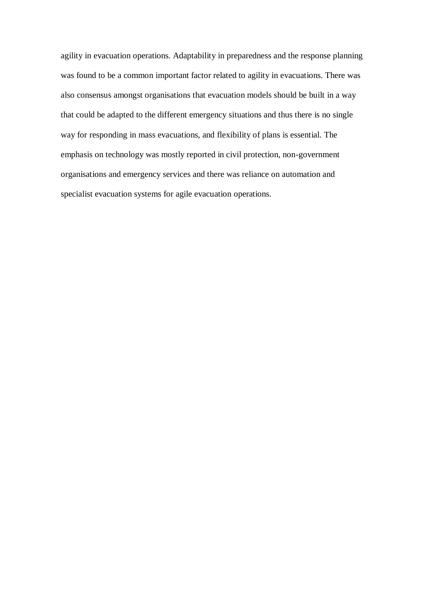agility in evacuation operations. Adaptability in preparedness and the response planning was found to be a common important factor related to agility in evacuations. There was also consensus amongst organisations that evacuation models should be built in a way that could be adapted to the different emergency situations and thus there is no single way for responding in mass evacuations, and flexibility of plans is essential. The emphasis on technology was mostly reported in civil protection, non-government organisations and emergency services and there was reliance on automation and specialist evacuation systems for agile evacuation operations.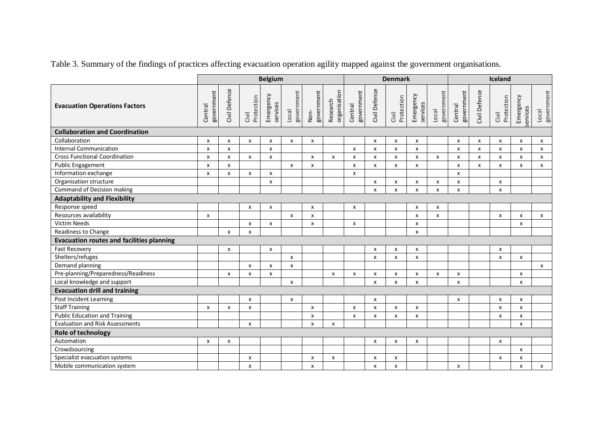|                                                  | <b>Belgium</b>            |                           |                           |                       | <b>Denmark</b>      |                    |                          |                           |                           | Iceland                   |                           |                     |                           |               |                           |                       |                           |
|--------------------------------------------------|---------------------------|---------------------------|---------------------------|-----------------------|---------------------|--------------------|--------------------------|---------------------------|---------------------------|---------------------------|---------------------------|---------------------|---------------------------|---------------|---------------------------|-----------------------|---------------------------|
| <b>Evacuation Operations Factors</b>             | government<br>Central     | Civil Defence             | Protection<br>Civil       | Emergency<br>services | government<br>Local | government<br>Non- | organisation<br>Research | government<br>Central     | Civil Defence             | Protection<br>Civil       | Emergency<br>services     | government<br>Local | government<br>Central     | Civil Defence | Protection<br>Civil       | Emergency<br>services | Local<br>government       |
| <b>Collaboration and Coordination</b>            |                           |                           |                           |                       |                     |                    |                          |                           |                           |                           |                           |                     |                           |               |                           |                       |                           |
| Collaboration                                    | X                         | x                         | x                         | x                     | x                   | X                  |                          |                           | x                         | x                         | x                         |                     | x                         | x             | X                         | x                     | X                         |
| <b>Internal Communication</b>                    | $\boldsymbol{\mathsf{x}}$ | $\boldsymbol{\mathsf{x}}$ |                           | $\mathsf{x}$          |                     |                    |                          | $\boldsymbol{\mathsf{x}}$ | $\boldsymbol{\mathsf{x}}$ | $\boldsymbol{\mathsf{x}}$ | $\boldsymbol{\mathsf{x}}$ |                     | $\pmb{\times}$            | $\pmb{\chi}$  | X                         | $\mathsf{x}$          | $\pmb{\mathsf{x}}$        |
| <b>Cross Functional Coordination</b>             | x                         | X                         | x                         | X                     |                     | X                  | X                        | x                         | X                         | x                         | x                         | x                   | X                         | X             | X                         | X                     | X                         |
| <b>Public Engagement</b>                         | X                         | X                         |                           |                       | x                   | x                  |                          | $\mathsf{x}$              | $\boldsymbol{\mathsf{x}}$ | X                         | $\mathsf{x}$              |                     | X                         | x             | X                         | x                     | X                         |
| Information exchange                             | x                         | x                         | x                         | x                     |                     |                    |                          | x                         |                           |                           |                           |                     | X                         |               |                           |                       |                           |
| Organisation structure                           |                           |                           |                           | X                     |                     |                    |                          |                           | X                         | x                         | x                         | x                   | X                         |               | X                         |                       |                           |
| Command of Decision making                       |                           |                           |                           |                       |                     |                    |                          |                           | $\boldsymbol{\mathsf{x}}$ | $\boldsymbol{\mathsf{x}}$ | $\boldsymbol{\mathsf{x}}$ | $\mathsf{x}$        | x                         |               | $\pmb{\times}$            |                       |                           |
| <b>Adaptability and Flexibility</b>              |                           |                           |                           |                       |                     |                    |                          |                           |                           |                           |                           |                     |                           |               |                           |                       |                           |
| Response speed                                   |                           |                           | x                         | x                     |                     | x                  |                          | x                         |                           |                           | X                         | x                   |                           |               |                           |                       |                           |
| Resources availability                           | $\pmb{\times}$            |                           |                           |                       | X                   | X                  |                          |                           |                           |                           | X                         | x                   |                           |               | $\pmb{\times}$            | x                     | $\boldsymbol{\mathsf{x}}$ |
| <b>Victim Needs</b>                              |                           |                           | x                         | x                     |                     | x                  |                          | x                         |                           |                           | $\boldsymbol{\mathsf{x}}$ |                     |                           |               |                           | x                     |                           |
| Readiness to Change                              |                           | $\boldsymbol{\mathsf{x}}$ | $\boldsymbol{\mathsf{x}}$ |                       |                     |                    |                          |                           |                           |                           | $\boldsymbol{\mathsf{x}}$ |                     |                           |               |                           |                       |                           |
| <b>Evacuation routes and facilities planning</b> |                           |                           |                           |                       |                     |                    |                          |                           |                           |                           |                           |                     |                           |               |                           |                       |                           |
| <b>Fast Recovery</b>                             |                           | X                         |                           | X                     |                     |                    |                          |                           | $\boldsymbol{\mathsf{x}}$ | x                         | X                         |                     |                           |               | X                         |                       |                           |
| Shelters/refuges                                 |                           |                           |                           |                       | x                   |                    |                          |                           | X                         | $\boldsymbol{\mathsf{x}}$ | $\boldsymbol{\mathsf{x}}$ |                     |                           |               | $\boldsymbol{\mathsf{x}}$ | X                     |                           |
| Demand planning                                  |                           |                           | X                         | X                     | X                   |                    |                          |                           |                           |                           |                           |                     |                           |               |                           |                       | $\mathsf{x}$              |
| Pre-planning/Preparedness/Readiness              |                           | x                         | x                         | X                     |                     |                    | x                        | x                         | x                         | x                         | x                         | x                   | x                         |               |                           | X                     |                           |
| Local knowledge and support                      |                           |                           |                           |                       | X                   |                    |                          |                           | $\boldsymbol{\mathsf{x}}$ | $\boldsymbol{\mathsf{x}}$ | $\mathsf{x}$              |                     | $\boldsymbol{\mathsf{x}}$ |               |                           | $\mathsf{x}$          |                           |
| <b>Evacuation drill and training</b>             |                           |                           |                           |                       |                     |                    |                          |                           |                           |                           |                           |                     |                           |               |                           |                       |                           |
| Post Incident Learning                           |                           |                           | X                         |                       | x                   |                    |                          |                           | $\pmb{\chi}$              |                           |                           |                     | X                         |               | X                         | X                     |                           |
| <b>Staff Training</b>                            | X                         | X                         | X                         |                       |                     | $\mathsf{x}$       |                          | $\mathsf{x}$              | $\boldsymbol{\mathsf{x}}$ | $\boldsymbol{\mathsf{x}}$ | $\boldsymbol{\mathsf{x}}$ |                     |                           |               | $\boldsymbol{\mathsf{x}}$ | $\mathsf{x}$          |                           |
| <b>Public Education and Training</b>             |                           |                           |                           |                       |                     | X                  |                          | x                         | $\pmb{\times}$            | x                         | X                         |                     |                           |               | $\pmb{\chi}$              | x                     |                           |
| <b>Evaluation and Risk Assessments</b>           |                           |                           | X                         |                       |                     | X                  | x                        |                           |                           |                           |                           |                     |                           |               |                           | x                     |                           |
| Role of technology                               |                           |                           |                           |                       |                     |                    |                          |                           |                           |                           |                           |                     |                           |               |                           |                       |                           |
| Automation                                       | x                         | x                         |                           |                       |                     |                    |                          |                           | x                         | X                         | X                         |                     |                           |               | X                         |                       |                           |
| Crowdsourcing                                    |                           |                           |                           |                       |                     |                    |                          |                           |                           |                           |                           |                     |                           |               |                           | X                     |                           |
| Specialist evacuation systems                    |                           |                           | x                         |                       |                     | X                  | x                        |                           | X                         | X                         |                           |                     |                           |               | X                         | x                     |                           |
| Mobile communication system                      |                           |                           | x                         |                       |                     | x                  |                          |                           | x                         | $\boldsymbol{\mathsf{x}}$ |                           |                     | x                         |               |                           | x                     | X                         |

Table 3. Summary of the findings of practices affecting evacuation operation agility mapped against the government organisations.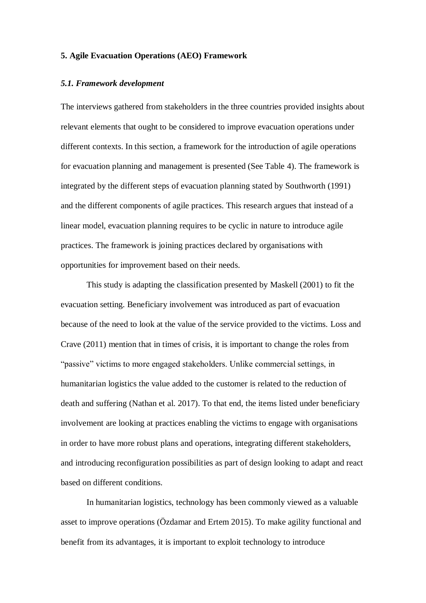### **5. Agile Evacuation Operations (AEO) Framework**

#### *5.1. Framework development*

The interviews gathered from stakeholders in the three countries provided insights about relevant elements that ought to be considered to improve evacuation operations under different contexts. In this section, a framework for the introduction of agile operations for evacuation planning and management is presented (See Table 4). The framework is integrated by the different steps of evacuation planning stated by Southworth (1991) and the different components of agile practices. This research argues that instead of a linear model, evacuation planning requires to be cyclic in nature to introduce agile practices. The framework is joining practices declared by organisations with opportunities for improvement based on their needs.

This study is adapting the classification presented by Maskell (2001) to fit the evacuation setting. Beneficiary involvement was introduced as part of evacuation because of the need to look at the value of the service provided to the victims. Loss and Crave (2011) mention that in times of crisis, it is important to change the roles from "passive" victims to more engaged stakeholders. Unlike commercial settings, in humanitarian logistics the value added to the customer is related to the reduction of death and suffering (Nathan et al. 2017). To that end, the items listed under beneficiary involvement are looking at practices enabling the victims to engage with organisations in order to have more robust plans and operations, integrating different stakeholders, and introducing reconfiguration possibilities as part of design looking to adapt and react based on different conditions.

In humanitarian logistics, technology has been commonly viewed as a valuable asset to improve operations (Özdamar and Ertem 2015). To make agility functional and benefit from its advantages, it is important to exploit technology to introduce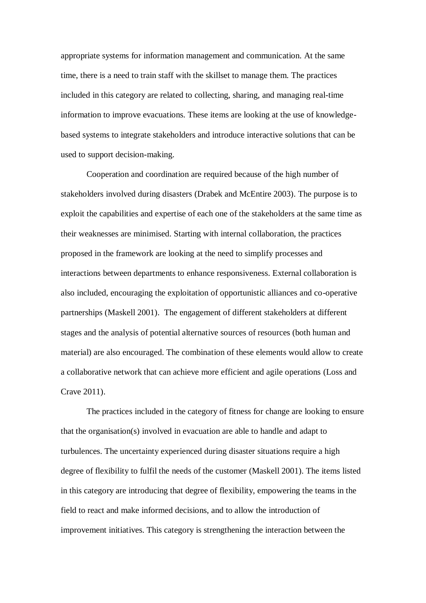appropriate systems for information management and communication. At the same time, there is a need to train staff with the skillset to manage them. The practices included in this category are related to collecting, sharing, and managing real-time information to improve evacuations. These items are looking at the use of knowledgebased systems to integrate stakeholders and introduce interactive solutions that can be used to support decision-making.

Cooperation and coordination are required because of the high number of stakeholders involved during disasters (Drabek and McEntire 2003). The purpose is to exploit the capabilities and expertise of each one of the stakeholders at the same time as their weaknesses are minimised. Starting with internal collaboration, the practices proposed in the framework are looking at the need to simplify processes and interactions between departments to enhance responsiveness. External collaboration is also included, encouraging the exploitation of opportunistic alliances and co-operative partnerships (Maskell 2001). The engagement of different stakeholders at different stages and the analysis of potential alternative sources of resources (both human and material) are also encouraged. The combination of these elements would allow to create a collaborative network that can achieve more efficient and agile operations (Loss and Crave 2011).

The practices included in the category of fitness for change are looking to ensure that the organisation(s) involved in evacuation are able to handle and adapt to turbulences. The uncertainty experienced during disaster situations require a high degree of flexibility to fulfil the needs of the customer (Maskell 2001). The items listed in this category are introducing that degree of flexibility, empowering the teams in the field to react and make informed decisions, and to allow the introduction of improvement initiatives. This category is strengthening the interaction between the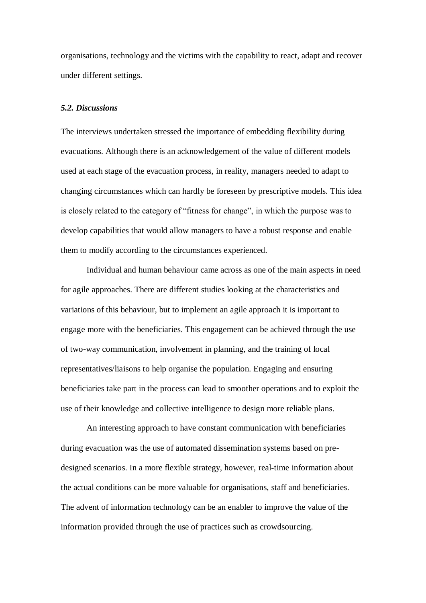organisations, technology and the victims with the capability to react, adapt and recover under different settings.

# *5.2. Discussions*

The interviews undertaken stressed the importance of embedding flexibility during evacuations. Although there is an acknowledgement of the value of different models used at each stage of the evacuation process, in reality, managers needed to adapt to changing circumstances which can hardly be foreseen by prescriptive models. This idea is closely related to the category of "fitness for change", in which the purpose was to develop capabilities that would allow managers to have a robust response and enable them to modify according to the circumstances experienced.

Individual and human behaviour came across as one of the main aspects in need for agile approaches. There are different studies looking at the characteristics and variations of this behaviour, but to implement an agile approach it is important to engage more with the beneficiaries. This engagement can be achieved through the use of two-way communication, involvement in planning, and the training of local representatives/liaisons to help organise the population. Engaging and ensuring beneficiaries take part in the process can lead to smoother operations and to exploit the use of their knowledge and collective intelligence to design more reliable plans.

An interesting approach to have constant communication with beneficiaries during evacuation was the use of automated dissemination systems based on predesigned scenarios. In a more flexible strategy, however, real-time information about the actual conditions can be more valuable for organisations, staff and beneficiaries. The advent of information technology can be an enabler to improve the value of the information provided through the use of practices such as crowdsourcing.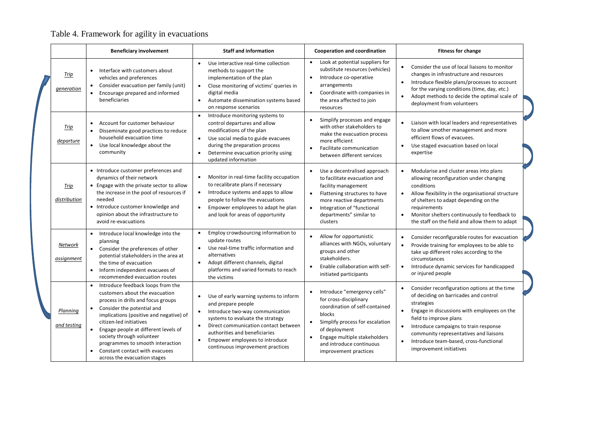# Table 4. Framework for agility in evacuations

|                         | <b>Beneficiary involvement</b>                                                                                                                                                                                                                                                                                                                                                                                                               | <b>Staff and information</b>                                                                                                                                                                                                                                                                                              | <b>Cooperation and coordination</b>                                                                                                                                                                                                                                  | <b>Fitness for change</b>                                                                                                                                                                                                                                                                                                                                                   |  |  |  |  |  |
|-------------------------|----------------------------------------------------------------------------------------------------------------------------------------------------------------------------------------------------------------------------------------------------------------------------------------------------------------------------------------------------------------------------------------------------------------------------------------------|---------------------------------------------------------------------------------------------------------------------------------------------------------------------------------------------------------------------------------------------------------------------------------------------------------------------------|----------------------------------------------------------------------------------------------------------------------------------------------------------------------------------------------------------------------------------------------------------------------|-----------------------------------------------------------------------------------------------------------------------------------------------------------------------------------------------------------------------------------------------------------------------------------------------------------------------------------------------------------------------------|--|--|--|--|--|
| Trip<br>generation      | Interface with customers about<br>$\bullet$<br>vehicles and preferences<br>Consider evacuation per family (unit)<br>$\bullet$<br>Encourage prepared and informed<br>$\bullet$<br>beneficiaries                                                                                                                                                                                                                                               | Use interactive real-time collection<br>$\bullet$<br>methods to support the<br>implementation of the plan<br>Close monitoring of victims' queries in<br>$\bullet$<br>digital media<br>Automate dissemination systems based<br>$\bullet$<br>on response scenarios                                                          | Look at potential suppliers for<br>$\bullet$<br>substitute resources (vehicles)<br>Introduce co-operative<br>$\bullet$<br>arrangements<br>Coordinate with companies in<br>$\bullet$<br>the area affected to join<br>resources                                        | Consider the use of local liaisons to monitor<br>$\bullet$<br>changes in infrastructure and resources<br>Introduce flexible plans/processes to account<br>for the varying conditions (time, day, etc.)<br>Adopt methods to decide the optimal scale of<br>$\bullet$<br>deployment from volunteers                                                                           |  |  |  |  |  |
| Trip<br>departure       | Account for customer behaviour<br>$\bullet$<br>Disseminate good practices to reduce<br>household evacuation time<br>Use local knowledge about the<br>community                                                                                                                                                                                                                                                                               | Introduce monitoring systems to<br>$\bullet$<br>control departures and allow<br>modifications of the plan<br>Use social media to guide evacuees<br>$\bullet$<br>during the preparation process<br>Determine evacuation priority using<br>$\bullet$<br>updated information                                                 | Simplify processes and engage<br>with other stakeholders to<br>make the evacuation process<br>more efficient<br>Facilitate communication<br>$\bullet$<br>between different services                                                                                  | Liaison with local leaders and representatives<br>$\bullet$<br>to allow smother management and more<br>efficient flows of evacuees.<br>Use staged evacuation based on local<br>$\bullet$<br>expertise                                                                                                                                                                       |  |  |  |  |  |
| Trip<br>distribution    | • Introduce customer preferences and<br>dynamics of their network<br>• Engage with the private sector to allow<br>the increase in the pool of resources if<br>needed<br>• Introduce customer knowledge and<br>opinion about the infrastructure to<br>avoid re-evacuations                                                                                                                                                                    | Monitor in real-time facility occupation<br>$\bullet$<br>to recalibrate plans if necessary<br>Introduce systems and apps to allow<br>$\bullet$<br>people to follow the evacuations<br>Empower employees to adapt he plan<br>$\bullet$<br>and look for areas of opportunity                                                | Use a decentralised approach<br>to facilitate evacuation and<br>facility management<br>Flattening structures to have<br>$\bullet$<br>more reactive departments<br>Integration of "functional<br>$\bullet$<br>departments" similar to<br>clusters                     | Modularise and cluster areas into plans<br>$\bullet$<br>allowing reconfiguration under changing<br>conditions<br>Allow flexibility in the organisational structure<br>$\bullet$<br>of shelters to adapt depending on the<br>requirements<br>Monitor shelters continuously to feedback to<br>$\bullet$<br>the staff on the field and allow them to adapt                     |  |  |  |  |  |
| Network<br>assignment   | Introduce local knowledge into the<br>$\bullet$<br>planning<br>• Consider the preferences of other<br>potential stakeholders in the area at<br>the time of evacuation<br>Inform independent evacuees of<br>$\bullet$<br>recommended evacuation routes                                                                                                                                                                                        | Employ crowdsourcing information to<br>$\bullet$<br>update routes<br>Use real-time traffic information and<br>$\bullet$<br>alternatives<br>Adopt different channels, digital<br>$\bullet$<br>platforms and varied formats to reach<br>the victims                                                                         | Allow for opportunistic<br>$\bullet$<br>alliances with NGOs, voluntary<br>groups and other<br>stakeholders.<br>Enable collaboration with self-<br>$\bullet$<br>initiated participants                                                                                | Consider reconfigurable routes for evacuation<br>Provide training for employees to be able to<br>take up different roles according to the<br>circumstances<br>Introduce dynamic services for handicapped<br>$\bullet$<br>or injured people                                                                                                                                  |  |  |  |  |  |
| Planning<br>and testing | Introduce feedback loops from the<br>$\bullet$<br>customers about the evacuation<br>process in drills and focus groups<br>Consider the potential and<br>$\bullet$<br>implications (positive and negative) of<br>citizen-led initiatives<br>Engage people at different levels of<br>$\bullet$<br>society through volunteer<br>programmes to smooth interaction<br>Constant contact with evacuees<br>$\bullet$<br>across the evacuation stages | Use of early warning systems to inform<br>and prepare people<br>Introduce two-way communication<br>$\bullet$<br>systems to evaluate the strategy<br>Direct communication contact between<br>$\bullet$<br>authorities and beneficiaries<br>Empower employees to introduce<br>$\bullet$<br>continuous improvement practices | Introduce "emergency cells"<br>$\bullet$<br>for cross-disciplinary<br>coordination of self-contained<br>blocks<br>Simplify process for escalation<br>$\bullet$<br>of deployment<br>Engage multiple stakeholders<br>and introduce continuous<br>improvement practices | Consider reconfiguration options at the time<br>of deciding on barricades and control<br>strategies<br>Engage in discussions with employees on the<br>$\bullet$<br>field to improve plans<br>Introduce campaigns to train response<br>$\bullet$<br>community representatives and liaisons<br>Introduce team-based, cross-functional<br>$\bullet$<br>improvement initiatives |  |  |  |  |  |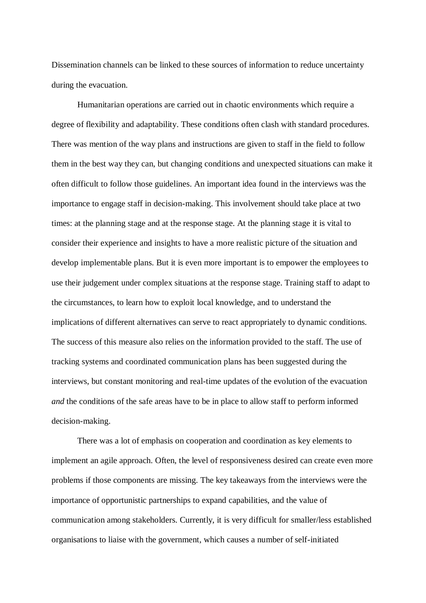Dissemination channels can be linked to these sources of information to reduce uncertainty during the evacuation.

Humanitarian operations are carried out in chaotic environments which require a degree of flexibility and adaptability. These conditions often clash with standard procedures. There was mention of the way plans and instructions are given to staff in the field to follow them in the best way they can, but changing conditions and unexpected situations can make it often difficult to follow those guidelines. An important idea found in the interviews was the importance to engage staff in decision-making. This involvement should take place at two times: at the planning stage and at the response stage. At the planning stage it is vital to consider their experience and insights to have a more realistic picture of the situation and develop implementable plans. But it is even more important is to empower the employees to use their judgement under complex situations at the response stage. Training staff to adapt to the circumstances, to learn how to exploit local knowledge, and to understand the implications of different alternatives can serve to react appropriately to dynamic conditions. The success of this measure also relies on the information provided to the staff. The use of tracking systems and coordinated communication plans has been suggested during the interviews, but constant monitoring and real-time updates of the evolution of the evacuation *and* the conditions of the safe areas have to be in place to allow staff to perform informed decision-making.

There was a lot of emphasis on cooperation and coordination as key elements to implement an agile approach. Often, the level of responsiveness desired can create even more problems if those components are missing. The key takeaways from the interviews were the importance of opportunistic partnerships to expand capabilities, and the value of communication among stakeholders. Currently, it is very difficult for smaller/less established organisations to liaise with the government, which causes a number of self-initiated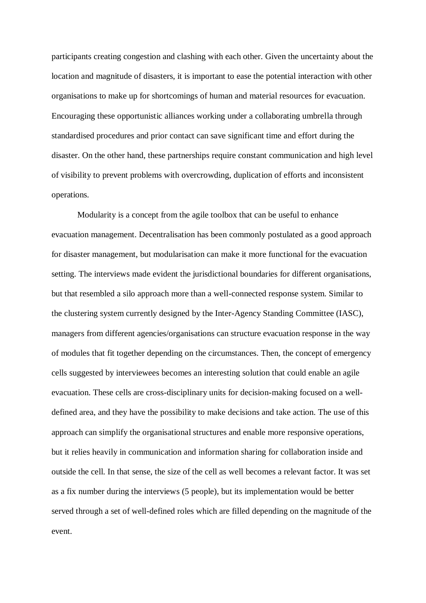participants creating congestion and clashing with each other. Given the uncertainty about the location and magnitude of disasters, it is important to ease the potential interaction with other organisations to make up for shortcomings of human and material resources for evacuation. Encouraging these opportunistic alliances working under a collaborating umbrella through standardised procedures and prior contact can save significant time and effort during the disaster. On the other hand, these partnerships require constant communication and high level of visibility to prevent problems with overcrowding, duplication of efforts and inconsistent operations.

Modularity is a concept from the agile toolbox that can be useful to enhance evacuation management. Decentralisation has been commonly postulated as a good approach for disaster management, but modularisation can make it more functional for the evacuation setting. The interviews made evident the jurisdictional boundaries for different organisations, but that resembled a silo approach more than a well-connected response system. Similar to the clustering system currently designed by the Inter-Agency Standing Committee (IASC), managers from different agencies/organisations can structure evacuation response in the way of modules that fit together depending on the circumstances. Then, the concept of emergency cells suggested by interviewees becomes an interesting solution that could enable an agile evacuation. These cells are cross-disciplinary units for decision-making focused on a welldefined area, and they have the possibility to make decisions and take action. The use of this approach can simplify the organisational structures and enable more responsive operations, but it relies heavily in communication and information sharing for collaboration inside and outside the cell. In that sense, the size of the cell as well becomes a relevant factor. It was set as a fix number during the interviews (5 people), but its implementation would be better served through a set of well-defined roles which are filled depending on the magnitude of the event.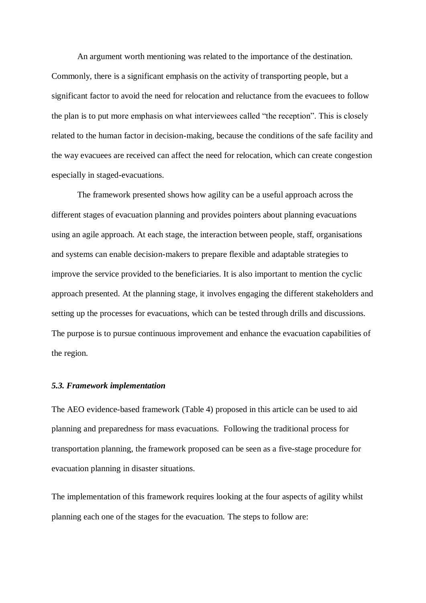An argument worth mentioning was related to the importance of the destination. Commonly, there is a significant emphasis on the activity of transporting people, but a significant factor to avoid the need for relocation and reluctance from the evacuees to follow the plan is to put more emphasis on what interviewees called "the reception". This is closely related to the human factor in decision-making, because the conditions of the safe facility and the way evacuees are received can affect the need for relocation, which can create congestion especially in staged-evacuations.

The framework presented shows how agility can be a useful approach across the different stages of evacuation planning and provides pointers about planning evacuations using an agile approach. At each stage, the interaction between people, staff, organisations and systems can enable decision-makers to prepare flexible and adaptable strategies to improve the service provided to the beneficiaries. It is also important to mention the cyclic approach presented. At the planning stage, it involves engaging the different stakeholders and setting up the processes for evacuations, which can be tested through drills and discussions. The purpose is to pursue continuous improvement and enhance the evacuation capabilities of the region.

#### *5.3. Framework implementation*

The AEO evidence-based framework (Table 4) proposed in this article can be used to aid planning and preparedness for mass evacuations. Following the traditional process for transportation planning, the framework proposed can be seen as a five-stage procedure for evacuation planning in disaster situations.

The implementation of this framework requires looking at the four aspects of agility whilst planning each one of the stages for the evacuation. The steps to follow are: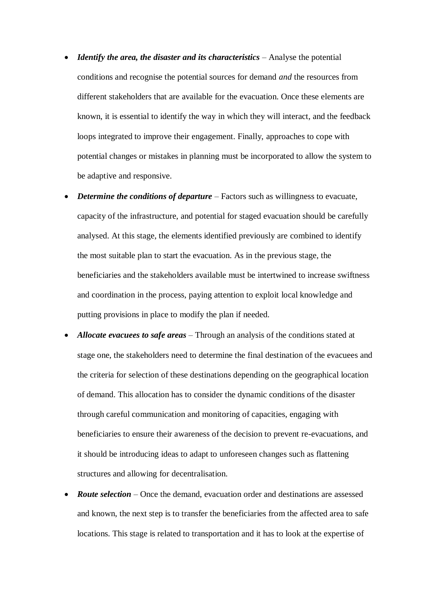- *Identify the area, the disaster and its characteristics* Analyse the potential conditions and recognise the potential sources for demand *and* the resources from different stakeholders that are available for the evacuation. Once these elements are known, it is essential to identify the way in which they will interact, and the feedback loops integrated to improve their engagement. Finally, approaches to cope with potential changes or mistakes in planning must be incorporated to allow the system to be adaptive and responsive.
- *Determine the conditions of departure* Factors such as willingness to evacuate, capacity of the infrastructure, and potential for staged evacuation should be carefully analysed. At this stage, the elements identified previously are combined to identify the most suitable plan to start the evacuation. As in the previous stage, the beneficiaries and the stakeholders available must be intertwined to increase swiftness and coordination in the process, paying attention to exploit local knowledge and putting provisions in place to modify the plan if needed.
- *Allocate evacuees to safe areas* Through an analysis of the conditions stated at stage one, the stakeholders need to determine the final destination of the evacuees and the criteria for selection of these destinations depending on the geographical location of demand. This allocation has to consider the dynamic conditions of the disaster through careful communication and monitoring of capacities, engaging with beneficiaries to ensure their awareness of the decision to prevent re-evacuations, and it should be introducing ideas to adapt to unforeseen changes such as flattening structures and allowing for decentralisation.
- *Route selection* Once the demand, evacuation order and destinations are assessed and known, the next step is to transfer the beneficiaries from the affected area to safe locations. This stage is related to transportation and it has to look at the expertise of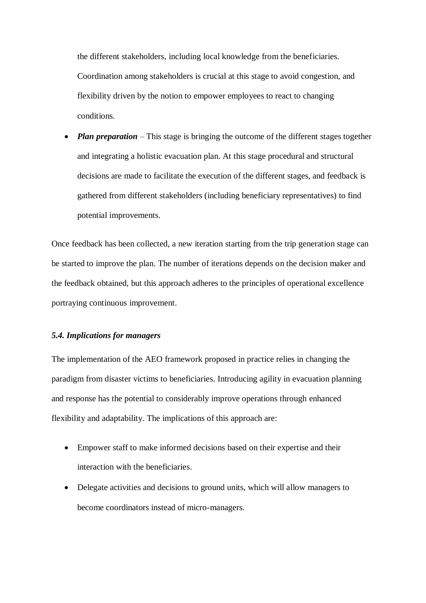the different stakeholders, including local knowledge from the beneficiaries. Coordination among stakeholders is crucial at this stage to avoid congestion, and flexibility driven by the notion to empower employees to react to changing conditions.

• *Plan preparation* – This stage is bringing the outcome of the different stages together and integrating a holistic evacuation plan. At this stage procedural and structural decisions are made to facilitate the execution of the different stages, and feedback is gathered from different stakeholders (including beneficiary representatives) to find potential improvements.

Once feedback has been collected, a new iteration starting from the trip generation stage can be started to improve the plan. The number of iterations depends on the decision maker and the feedback obtained, but this approach adheres to the principles of operational excellence portraying continuous improvement.

# *5.4. Implications for managers*

The implementation of the AEO framework proposed in practice relies in changing the paradigm from disaster victims to beneficiaries. Introducing agility in evacuation planning and response has the potential to considerably improve operations through enhanced flexibility and adaptability. The implications of this approach are:

- Empower staff to make informed decisions based on their expertise and their interaction with the beneficiaries.
- Delegate activities and decisions to ground units, which will allow managers to become coordinators instead of micro-managers.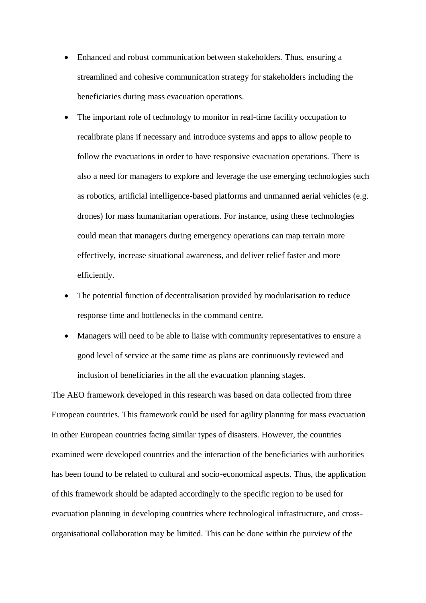- Enhanced and robust communication between stakeholders. Thus, ensuring a streamlined and cohesive communication strategy for stakeholders including the beneficiaries during mass evacuation operations.
- The important role of technology to monitor in real-time facility occupation to recalibrate plans if necessary and introduce systems and apps to allow people to follow the evacuations in order to have responsive evacuation operations. There is also a need for managers to explore and leverage the use emerging technologies such as robotics, artificial intelligence-based platforms and unmanned aerial vehicles (e.g. drones) for mass humanitarian operations. For instance, using these technologies could mean that managers during emergency operations can map terrain more effectively, increase situational awareness, and deliver relief faster and more efficiently.
- The potential function of decentralisation provided by modularisation to reduce response time and bottlenecks in the command centre.
- Managers will need to be able to liaise with community representatives to ensure a good level of service at the same time as plans are continuously reviewed and inclusion of beneficiaries in the all the evacuation planning stages.

The AEO framework developed in this research was based on data collected from three European countries. This framework could be used for agility planning for mass evacuation in other European countries facing similar types of disasters. However, the countries examined were developed countries and the interaction of the beneficiaries with authorities has been found to be related to cultural and socio-economical aspects. Thus, the application of this framework should be adapted accordingly to the specific region to be used for evacuation planning in developing countries where technological infrastructure, and crossorganisational collaboration may be limited. This can be done within the purview of the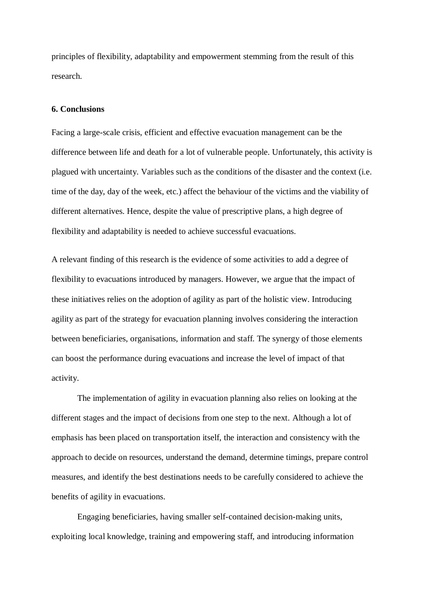principles of flexibility, adaptability and empowerment stemming from the result of this research.

#### **6. Conclusions**

Facing a large-scale crisis, efficient and effective evacuation management can be the difference between life and death for a lot of vulnerable people. Unfortunately, this activity is plagued with uncertainty. Variables such as the conditions of the disaster and the context (i.e. time of the day, day of the week, etc.) affect the behaviour of the victims and the viability of different alternatives. Hence, despite the value of prescriptive plans, a high degree of flexibility and adaptability is needed to achieve successful evacuations.

A relevant finding of this research is the evidence of some activities to add a degree of flexibility to evacuations introduced by managers. However, we argue that the impact of these initiatives relies on the adoption of agility as part of the holistic view. Introducing agility as part of the strategy for evacuation planning involves considering the interaction between beneficiaries, organisations, information and staff. The synergy of those elements can boost the performance during evacuations and increase the level of impact of that activity.

The implementation of agility in evacuation planning also relies on looking at the different stages and the impact of decisions from one step to the next. Although a lot of emphasis has been placed on transportation itself, the interaction and consistency with the approach to decide on resources, understand the demand, determine timings, prepare control measures, and identify the best destinations needs to be carefully considered to achieve the benefits of agility in evacuations.

Engaging beneficiaries, having smaller self-contained decision-making units, exploiting local knowledge, training and empowering staff, and introducing information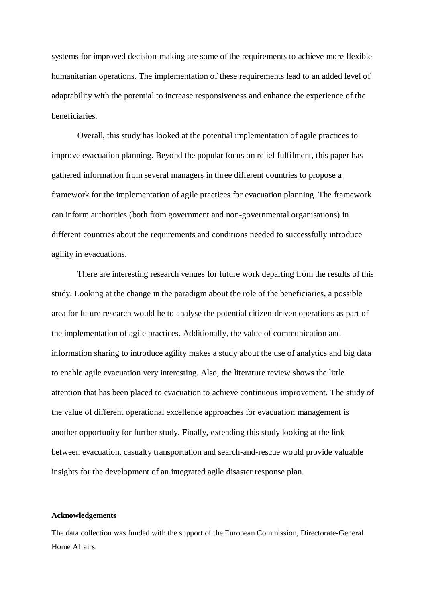systems for improved decision-making are some of the requirements to achieve more flexible humanitarian operations. The implementation of these requirements lead to an added level of adaptability with the potential to increase responsiveness and enhance the experience of the beneficiaries.

Overall, this study has looked at the potential implementation of agile practices to improve evacuation planning. Beyond the popular focus on relief fulfilment, this paper has gathered information from several managers in three different countries to propose a framework for the implementation of agile practices for evacuation planning. The framework can inform authorities (both from government and non-governmental organisations) in different countries about the requirements and conditions needed to successfully introduce agility in evacuations.

There are interesting research venues for future work departing from the results of this study. Looking at the change in the paradigm about the role of the beneficiaries, a possible area for future research would be to analyse the potential citizen-driven operations as part of the implementation of agile practices. Additionally, the value of communication and information sharing to introduce agility makes a study about the use of analytics and big data to enable agile evacuation very interesting. Also, the literature review shows the little attention that has been placed to evacuation to achieve continuous improvement. The study of the value of different operational excellence approaches for evacuation management is another opportunity for further study. Finally, extending this study looking at the link between evacuation, casualty transportation and search-and-rescue would provide valuable insights for the development of an integrated agile disaster response plan.

# **Acknowledgements**

The data collection was funded with the support of the European Commission, Directorate-General Home Affairs.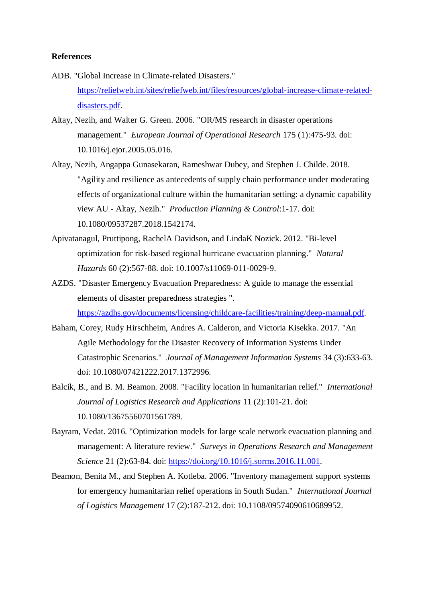# **References**

- ADB. "Global Increase in Climate-related Disasters." [https://reliefweb.int/sites/reliefweb.int/files/resources/global-increase-climate-related](https://reliefweb.int/sites/reliefweb.int/files/resources/global-increase-climate-related-disasters.pdf)[disasters.pdf.](https://reliefweb.int/sites/reliefweb.int/files/resources/global-increase-climate-related-disasters.pdf)
- Altay, Nezih, and Walter G. Green. 2006. "OR/MS research in disaster operations management." *European Journal of Operational Research* 175 (1):475-93. doi: 10.1016/j.ejor.2005.05.016.
- Altay, Nezih, Angappa Gunasekaran, Rameshwar Dubey, and Stephen J. Childe. 2018. "Agility and resilience as antecedents of supply chain performance under moderating effects of organizational culture within the humanitarian setting: a dynamic capability view AU - Altay, Nezih." *Production Planning & Control*:1-17. doi: 10.1080/09537287.2018.1542174.
- Apivatanagul, Pruttipong, RachelA Davidson, and LindaK Nozick. 2012. "Bi-level optimization for risk-based regional hurricane evacuation planning." *Natural Hazards* 60 (2):567-88. doi: 10.1007/s11069-011-0029-9.
- AZDS. "Disaster Emergency Evacuation Preparedness: A guide to manage the essential elements of disaster preparedness strategies ".

[https://azdhs.gov/documents/licensing/childcare-facilities/training/deep-manual.pdf.](https://azdhs.gov/documents/licensing/childcare-facilities/training/deep-manual.pdf)

- Baham, Corey, Rudy Hirschheim, Andres A. Calderon, and Victoria Kisekka. 2017. "An Agile Methodology for the Disaster Recovery of Information Systems Under Catastrophic Scenarios." *Journal of Management Information Systems* 34 (3):633-63. doi: 10.1080/07421222.2017.1372996.
- Balcik, B., and B. M. Beamon. 2008. "Facility location in humanitarian relief." *International Journal of Logistics Research and Applications* 11 (2):101-21. doi: 10.1080/13675560701561789.
- Bayram, Vedat. 2016. "Optimization models for large scale network evacuation planning and management: A literature review." *Surveys in Operations Research and Management Science* 21 (2):63-84. doi: [https://doi.org/10.1016/j.sorms.2016.11.001.](https://doi.org/10.1016/j.sorms.2016.11.001)
- Beamon, Benita M., and Stephen A. Kotleba. 2006. "Inventory management support systems for emergency humanitarian relief operations in South Sudan." *International Journal of Logistics Management* 17 (2):187-212. doi: 10.1108/09574090610689952.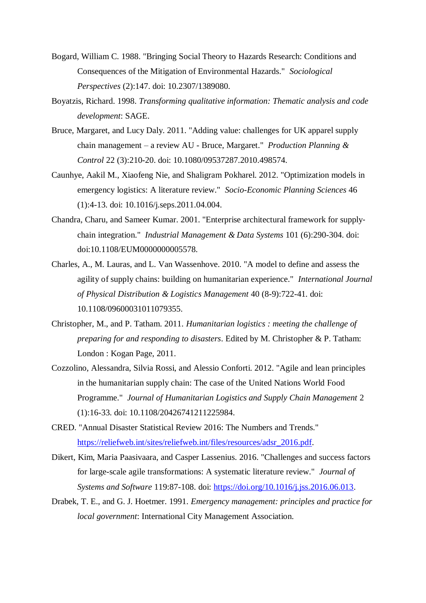- Bogard, William C. 1988. "Bringing Social Theory to Hazards Research: Conditions and Consequences of the Mitigation of Environmental Hazards." *Sociological Perspectives* (2):147. doi: 10.2307/1389080.
- Boyatzis, Richard. 1998. *Transforming qualitative information: Thematic analysis and code development*: SAGE.
- Bruce, Margaret, and Lucy Daly. 2011. "Adding value: challenges for UK apparel supply chain management – a review AU - Bruce, Margaret." *Production Planning & Control* 22 (3):210-20. doi: 10.1080/09537287.2010.498574.
- Caunhye, Aakil M., Xiaofeng Nie, and Shaligram Pokharel. 2012. "Optimization models in emergency logistics: A literature review." *Socio-Economic Planning Sciences* 46 (1):4-13. doi: 10.1016/j.seps.2011.04.004.
- Chandra, Charu, and Sameer Kumar. 2001. "Enterprise architectural framework for supply‐ chain integration." *Industrial Management & Data Systems* 101 (6):290-304. doi: doi:10.1108/EUM0000000005578.
- Charles, A., M. Lauras, and L. Van Wassenhove. 2010. "A model to define and assess the agility of supply chains: building on humanitarian experience." *International Journal of Physical Distribution & Logistics Management* 40 (8-9):722-41. doi: 10.1108/09600031011079355.
- Christopher, M., and P. Tatham. 2011. *Humanitarian logistics : meeting the challenge of preparing for and responding to disasters*. Edited by M. Christopher & P. Tatham: London : Kogan Page, 2011.
- Cozzolino, Alessandra, Silvia Rossi, and Alessio Conforti. 2012. "Agile and lean principles in the humanitarian supply chain: The case of the United Nations World Food Programme." *Journal of Humanitarian Logistics and Supply Chain Management* 2 (1):16-33. doi: 10.1108/20426741211225984.
- CRED. "Annual Disaster Statistical Review 2016: The Numbers and Trends." [https://reliefweb.int/sites/reliefweb.int/files/resources/adsr\\_2016.pdf.](https://reliefweb.int/sites/reliefweb.int/files/resources/adsr_2016.pdf)
- Dikert, Kim, Maria Paasivaara, and Casper Lassenius. 2016. "Challenges and success factors for large-scale agile transformations: A systematic literature review." *Journal of Systems and Software* 119:87-108. doi: [https://doi.org/10.1016/j.jss.2016.06.013.](https://doi.org/10.1016/j.jss.2016.06.013)
- Drabek, T. E., and G. J. Hoetmer. 1991. *Emergency management: principles and practice for local government*: International City Management Association.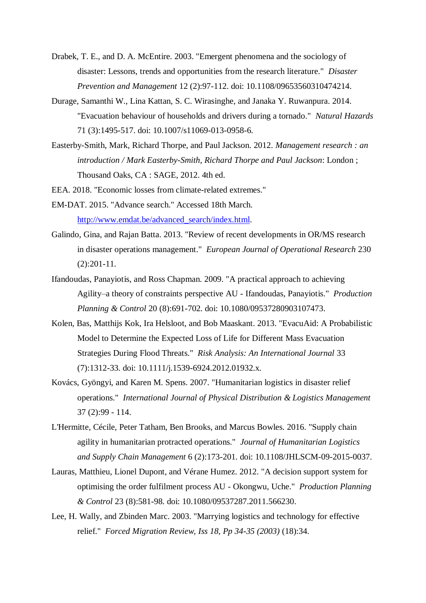- Drabek, T. E., and D. A. McEntire. 2003. "Emergent phenomena and the sociology of disaster: Lessons, trends and opportunities from the research literature." *Disaster Prevention and Management* 12 (2):97-112. doi: 10.1108/09653560310474214.
- Durage, Samanthi W., Lina Kattan, S. C. Wirasinghe, and Janaka Y. Ruwanpura. 2014. "Evacuation behaviour of households and drivers during a tornado." *Natural Hazards* 71 (3):1495-517. doi: 10.1007/s11069-013-0958-6.
- Easterby-Smith, Mark, Richard Thorpe, and Paul Jackson. 2012. *Management research : an introduction / Mark Easterby-Smith, Richard Thorpe and Paul Jackson*: London ; Thousand Oaks, CA : SAGE, 2012. 4th ed.
- EEA. 2018. "Economic losses from climate-related extremes."
- EM-DAT. 2015. "Advance search." Accessed 18th March. [http://www.emdat.be/advanced\\_search/index.html.](http://www.emdat.be/advanced_search/index.html)
- Galindo, Gina, and Rajan Batta. 2013. "Review of recent developments in OR/MS research in disaster operations management." *European Journal of Operational Research* 230 (2):201-11.
- Ifandoudas, Panayiotis, and Ross Chapman. 2009. "A practical approach to achieving Agility–a theory of constraints perspective AU - Ifandoudas, Panayiotis." *Production Planning & Control* 20 (8):691-702. doi: 10.1080/09537280903107473.
- Kolen, Bas, Matthijs Kok, Ira Helsloot, and Bob Maaskant. 2013. "EvacuAid: A Probabilistic Model to Determine the Expected Loss of Life for Different Mass Evacuation Strategies During Flood Threats." *Risk Analysis: An International Journal* 33 (7):1312-33. doi: 10.1111/j.1539-6924.2012.01932.x.
- Kovács, Gyöngyi, and Karen M. Spens. 2007. "Humanitarian logistics in disaster relief operations." *International Journal of Physical Distribution & Logistics Management* 37 (2):99 - 114.
- L'Hermitte, Cécile, Peter Tatham, Ben Brooks, and Marcus Bowles. 2016. "Supply chain agility in humanitarian protracted operations." *Journal of Humanitarian Logistics and Supply Chain Management* 6 (2):173-201. doi: 10.1108/JHLSCM-09-2015-0037.
- Lauras, Matthieu, Lionel Dupont, and Vérane Humez. 2012. "A decision support system for optimising the order fulfilment process AU - Okongwu, Uche." *Production Planning & Control* 23 (8):581-98. doi: 10.1080/09537287.2011.566230.
- Lee, H. Wally, and Zbinden Marc. 2003. "Marrying logistics and technology for effective relief." *Forced Migration Review, Iss 18, Pp 34-35 (2003)* (18):34.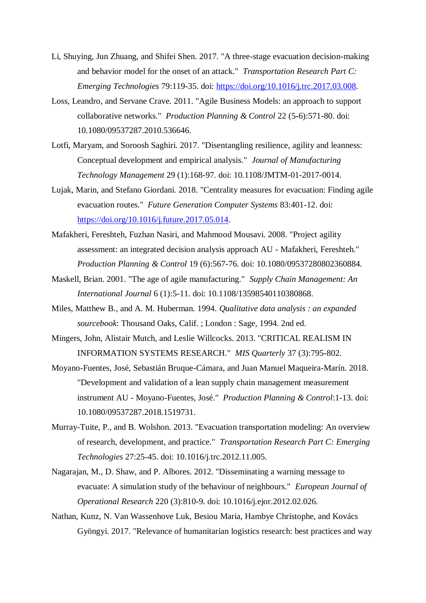- Li, Shuying, Jun Zhuang, and Shifei Shen. 2017. "A three-stage evacuation decision-making and behavior model for the onset of an attack." *Transportation Research Part C: Emerging Technologies* 79:119-35. doi: [https://doi.org/10.1016/j.trc.2017.03.008.](https://doi.org/10.1016/j.trc.2017.03.008)
- Loss, Leandro, and Servane Crave. 2011. "Agile Business Models: an approach to support collaborative networks." *Production Planning & Control* 22 (5-6):571-80. doi: 10.1080/09537287.2010.536646.
- Lotfi, Maryam, and Soroosh Saghiri. 2017. "Disentangling resilience, agility and leanness: Conceptual development and empirical analysis." *Journal of Manufacturing Technology Management* 29 (1):168-97. doi: 10.1108/JMTM-01-2017-0014.
- Lujak, Marin, and Stefano Giordani. 2018. "Centrality measures for evacuation: Finding agile evacuation routes." *Future Generation Computer Systems* 83:401-12. doi: [https://doi.org/10.1016/j.future.2017.05.014.](https://doi.org/10.1016/j.future.2017.05.014)
- Mafakheri, Fereshteh, Fuzhan Nasiri, and Mahmood Mousavi. 2008. "Project agility assessment: an integrated decision analysis approach AU - Mafakheri, Fereshteh." *Production Planning & Control* 19 (6):567-76. doi: 10.1080/09537280802360884.
- Maskell, Brian. 2001. "The age of agile manufacturing." *Supply Chain Management: An International Journal* 6 (1):5-11. doi: 10.1108/13598540110380868.
- Miles, Matthew B., and A. M. Huberman. 1994. *Qualitative data analysis : an expanded sourcebook*: Thousand Oaks, Calif. ; London : Sage, 1994. 2nd ed.
- Mingers, John, Alistair Mutch, and Leslie Willcocks. 2013. "CRITICAL REALISM IN INFORMATION SYSTEMS RESEARCH." *MIS Quarterly* 37 (3):795-802.
- Moyano-Fuentes, José, Sebastián Bruque-Cámara, and Juan Manuel Maqueira-Marín. 2018. "Development and validation of a lean supply chain management measurement instrument AU - Moyano-Fuentes, José." *Production Planning & Control*:1-13. doi: 10.1080/09537287.2018.1519731.
- Murray-Tuite, P., and B. Wolshon. 2013. "Evacuation transportation modeling: An overview of research, development, and practice." *Transportation Research Part C: Emerging Technologies* 27:25-45. doi: 10.1016/j.trc.2012.11.005.
- Nagarajan, M., D. Shaw, and P. Albores. 2012. "Disseminating a warning message to evacuate: A simulation study of the behaviour of neighbours." *European Journal of Operational Research* 220 (3):810-9. doi: 10.1016/j.ejor.2012.02.026.
- Nathan, Kunz, N. Van Wassenhove Luk, Besiou Maria, Hambye Christophe, and Kovács Gyöngyi. 2017. "Relevance of humanitarian logistics research: best practices and way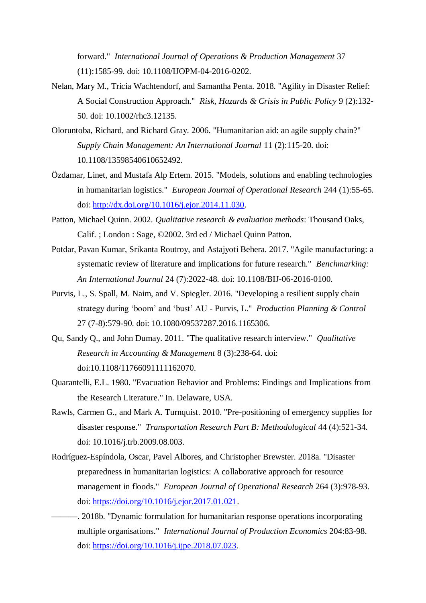forward." *International Journal of Operations & Production Management* 37 (11):1585-99. doi: 10.1108/IJOPM-04-2016-0202.

- Nelan, Mary M., Tricia Wachtendorf, and Samantha Penta. 2018. "Agility in Disaster Relief: A Social Construction Approach." *Risk, Hazards & Crisis in Public Policy* 9 (2):132- 50. doi: 10.1002/rhc3.12135.
- Oloruntoba, Richard, and Richard Gray. 2006. "Humanitarian aid: an agile supply chain?" *Supply Chain Management: An International Journal* 11 (2):115-20. doi: 10.1108/13598540610652492.
- Özdamar, Linet, and Mustafa Alp Ertem. 2015. "Models, solutions and enabling technologies in humanitarian logistics." *European Journal of Operational Research* 244 (1):55-65. doi: [http://dx.doi.org/10.1016/j.ejor.2014.11.030.](http://dx.doi.org/10.1016/j.ejor.2014.11.030)
- Patton, Michael Quinn. 2002. *Qualitative research & evaluation methods*: Thousand Oaks, Calif. ; London : Sage, ©2002. 3rd ed / Michael Quinn Patton.
- Potdar, Pavan Kumar, Srikanta Routroy, and Astajyoti Behera. 2017. "Agile manufacturing: a systematic review of literature and implications for future research." *Benchmarking: An International Journal* 24 (7):2022-48. doi: 10.1108/BIJ-06-2016-0100.
- Purvis, L., S. Spall, M. Naim, and V. Spiegler. 2016. "Developing a resilient supply chain strategy during 'boom' and 'bust' AU - Purvis, L." *Production Planning & Control* 27 (7-8):579-90. doi: 10.1080/09537287.2016.1165306.
- Qu, Sandy Q., and John Dumay. 2011. "The qualitative research interview." *Qualitative Research in Accounting & Management* 8 (3):238-64. doi: doi:10.1108/11766091111162070.
- Quarantelli, E.L. 1980. "Evacuation Behavior and Problems: Findings and Implications from the Research Literature." In. Delaware, USA.
- Rawls, Carmen G., and Mark A. Turnquist. 2010. "Pre-positioning of emergency supplies for disaster response." *Transportation Research Part B: Methodological* 44 (4):521-34. doi: 10.1016/j.trb.2009.08.003.
- Rodríguez-Espíndola, Oscar, Pavel Albores, and Christopher Brewster. 2018a. "Disaster preparedness in humanitarian logistics: A collaborative approach for resource management in floods." *European Journal of Operational Research* 264 (3):978-93. doi: [https://doi.org/10.1016/j.ejor.2017.01.021.](https://doi.org/10.1016/j.ejor.2017.01.021)
	- ———. 2018b. "Dynamic formulation for humanitarian response operations incorporating multiple organisations." *International Journal of Production Economics* 204:83-98. doi: [https://doi.org/10.1016/j.ijpe.2018.07.023.](https://doi.org/10.1016/j.ijpe.2018.07.023)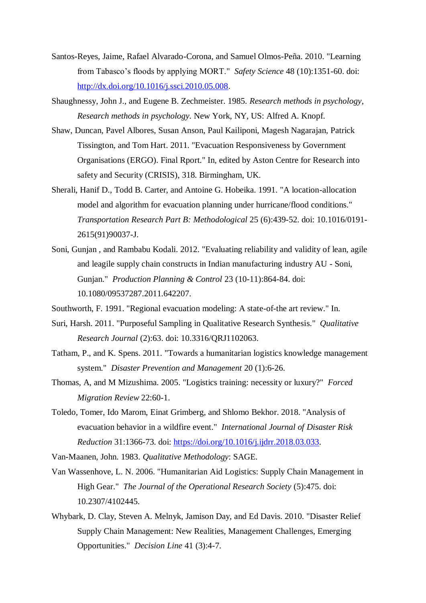- Santos-Reyes, Jaime, Rafael Alvarado-Corona, and Samuel Olmos-Peña. 2010. "Learning from Tabasco's floods by applying MORT." *Safety Science* 48 (10):1351-60. doi: [http://dx.doi.org/10.1016/j.ssci.2010.05.008.](http://dx.doi.org/10.1016/j.ssci.2010.05.008)
- Shaughnessy, John J., and Eugene B. Zechmeister. 1985. *Research methods in psychology*, *Research methods in psychology.* New York, NY, US: Alfred A. Knopf.
- Shaw, Duncan, Pavel Albores, Susan Anson, Paul Kailiponi, Magesh Nagarajan, Patrick Tissington, and Tom Hart. 2011. "Evacuation Responsiveness by Government Organisations (ERGO). Final Rport." In, edited by Aston Centre for Research into safety and Security (CRISIS), 318. Birmingham, UK.
- Sherali, Hanif D., Todd B. Carter, and Antoine G. Hobeika. 1991. "A location-allocation model and algorithm for evacuation planning under hurricane/flood conditions." *Transportation Research Part B: Methodological* 25 (6):439-52. doi: 10.1016/0191- 2615(91)90037-J.
- Soni, Gunjan , and Rambabu Kodali. 2012. "Evaluating reliability and validity of lean, agile and leagile supply chain constructs in Indian manufacturing industry AU - Soni, Gunjan." *Production Planning & Control* 23 (10-11):864-84. doi: 10.1080/09537287.2011.642207.
- Southworth, F. 1991. "Regional evacuation modeling: A state-of-the art review." In.
- Suri, Harsh. 2011. "Purposeful Sampling in Qualitative Research Synthesis." *Qualitative Research Journal* (2):63. doi: 10.3316/QRJ1102063.
- Tatham, P., and K. Spens. 2011. "Towards a humanitarian logistics knowledge management system." *Disaster Prevention and Management* 20 (1):6-26.
- Thomas, A, and M Mizushima. 2005. "Logistics training: necessity or luxury?" *Forced Migration Review* 22:60-1.
- Toledo, Tomer, Ido Marom, Einat Grimberg, and Shlomo Bekhor. 2018. "Analysis of evacuation behavior in a wildfire event." *International Journal of Disaster Risk Reduction* 31:1366-73. doi: [https://doi.org/10.1016/j.ijdrr.2018.03.033.](https://doi.org/10.1016/j.ijdrr.2018.03.033)
- Van-Maanen, John. 1983. *Qualitative Methodology*: SAGE.
- Van Wassenhove, L. N. 2006. "Humanitarian Aid Logistics: Supply Chain Management in High Gear." *The Journal of the Operational Research Society* (5):475. doi: 10.2307/4102445.
- Whybark, D. Clay, Steven A. Melnyk, Jamison Day, and Ed Davis. 2010. "Disaster Relief Supply Chain Management: New Realities, Management Challenges, Emerging Opportunities." *Decision Line* 41 (3):4-7.